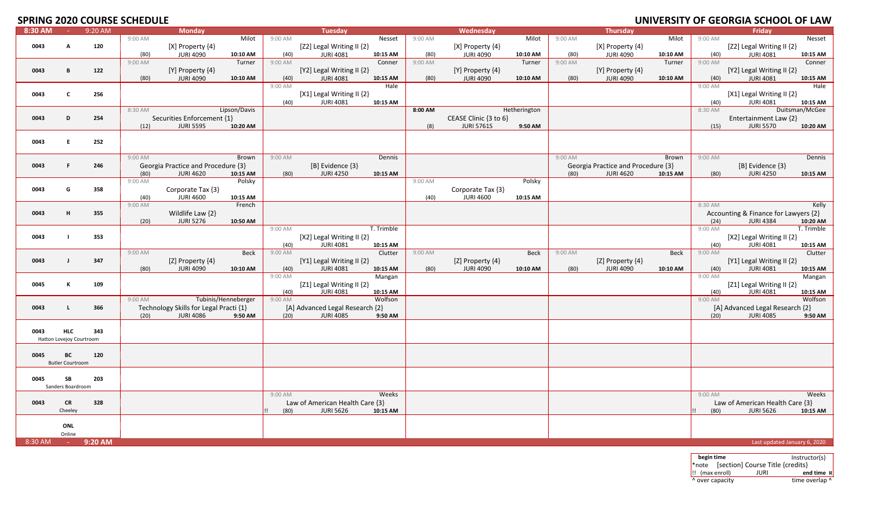# **SPRING 2020 COURSE SCHEDULE**

| Fridav<br>9:20 AM<br><b>Monday</b><br><b>Tuesday</b><br>Wednesday<br>8:30 AM<br><b>Carlos</b><br><b>Thursday</b><br>Milot<br>9:00 AM<br>9:00 AM<br>Milot<br>9:00 AM<br>Milot<br>9:00 AM<br>Nesset<br>9:00 AM<br>Nesset<br>120<br>[X] Property {4}<br>[Z2] Legal Writing II {2}<br>[X] Property {4}<br>[X] Property {4}<br>[Z2] Legal Writing II {2}<br>0043<br>A<br>(80)<br><b>JURI 4090</b><br>10:10 AM<br>(40)<br><b>JURI 4081</b><br>10:15 AM<br>(80)<br><b>JURI 4090</b><br>10:10 AM<br>(80)<br><b>JURI 4090</b><br>10:10 AM<br>(40)<br><b>JURI 4081</b><br>10:15 AM<br>9:00 AM<br>Turner<br>$9:00$ AM<br>9:00 AM<br>Turner<br>9:00 AM<br>9:00 AM<br>Conner<br>Conner<br>Turner<br>122<br>[Y] Property {4}<br>0043<br>B<br>[Y] Property $\{4\}$<br>[Y2] Legal Writing II {2}<br>[Y] Property {4}<br>[Y2] Legal Writing II {2}<br>(80)<br><b>JURI 4090</b><br>10:10 AM<br>(40)<br><b>JURI 4081</b><br>10:15 AM<br>(80)<br><b>JURI 4090</b><br>10:10 AM<br>(80)<br><b>JURI 4090</b><br>10:10 AM<br>(40)<br><b>JURI 4081</b><br>10:15 AM<br>9:00 AM<br>Hale<br>Hale<br>9:00 AM<br>[X1] Legal Writing II {2}<br>256<br>[X1] Legal Writing II {2}<br>0043<br>$\mathbf{c}$<br><b>JURI 4081</b><br><b>JURI 4081</b><br>10:15 AM<br>10:15 AM<br>(40)<br>(40)<br>8:30 AM<br>8:00 AM<br>Duitsman/McGee<br>Lipson/Davis<br>Hetherington<br>8:30 AM<br>Securities Enforcement {1}<br>CEASE Clinic {3 to 6}<br>Entertainment Law {2}<br>0043<br>D<br>254<br><b>JURI 5595</b><br><b>JURI 5761S</b><br><b>JURI 5570</b><br>(12)<br>10:20 AM<br>(8)<br>9:50 AM<br>(15)<br>10:20 AM<br>252<br>0043<br>E.<br>9:00 AM<br>9:00 AM<br>9:00 AM<br>9:00 AM<br>Brown<br>Dennis<br>Brown<br>Dennis<br>Georgia Practice and Procedure {3}<br>[B] Evidence {3}<br>Georgia Practice and Procedure {3}<br>[B] Evidence {3}<br>0043<br>F.<br>246<br>10:15 AM<br>(80)<br><b>JURI 4620</b><br>(80)<br><b>JURI 4250</b><br>10:15 AM<br>(80)<br><b>JURI 4620</b><br>10:15 AM<br>(80)<br><b>JURI 4250</b><br>10:15 AM<br>9:00 AM<br>Polsky<br>9:00 AM<br>Polsky<br>0043<br>358<br>G<br>Corporate Tax {3}<br>Corporate Tax {3}<br><b>JURI 4600</b><br><b>JURI 4600</b><br>(40)<br>10:15 AM<br>(40)<br>10:15 AM<br>Kelly<br>9:00 AM<br>French<br>8:30 AM<br>Wildlife Law {2}<br>Accounting & Finance for Lawyers {2}<br>0043<br>355<br>н<br><b>JURI 5276</b><br><b>JURI 4384</b><br>(20)<br>10:50 AM<br>(24)<br>10:20 AM<br>9:00 AM<br>9:00 AM<br>T. Trimble<br>T. Trimble<br>[X2] Legal Writing II {2}<br>0043<br>353<br>[X2] Legal Writing II {2}<br><b>JURI 4081</b><br><b>JURI 4081</b><br>(40)<br>10:15 AM<br>(40)<br>10:15 AM<br>$9:00$ AM<br>$9:00$ AM<br>$9:00$ AM<br><b>Beck</b><br>Clutter<br>9:00 AM<br>Beck<br>Beck<br>9:00 AM<br>Clutter<br>[Z] Property {4}<br>[Y1] Legal Writing II {2}<br>[Z] Property {4}<br>[Z] Property {4}<br>[Y1] Legal Writing II {2}<br>0043<br>347<br>$\mathbf{I}$<br><b>JURI 4090</b><br><b>JURI 4081</b><br><b>JURI 4090</b><br>10:10 AM<br>(80)<br><b>JURI 4090</b><br>10:10 AM<br><b>JURI 4081</b><br>10:15 AM<br>(80)<br>10:10 AM<br>(40)<br>10:15 AM<br>(80)<br>(40)<br>9:00 AM<br>9:00 AM<br>Mangan<br>Mangan<br>0045<br>109<br>к<br>[ $Z1$ ] Legal Writing II $\{2\}$<br>[Z1] Legal Writing II {2}<br><b>JURI 4081</b><br>10:15 AM<br><b>JURI 4081</b><br>10:15 AM<br>(40)<br>(40)<br>Wolfson<br>Tubinis/Henneberger<br>$9:00$ AM<br>Wolfson<br>9:00 AM<br>9:00 AM<br>366<br>Technology Skills for Legal Practi {1}<br>[A] Advanced Legal Research {2}<br>[A] Advanced Legal Research {2}<br>0043<br>L<br><b>JURI 4086</b><br>9:50 AM<br><b>JURI 4085</b><br><b>JURI 4085</b><br>9:50 AM<br>(20)<br>(20)<br>9:50 AM<br>(20)<br>0043<br><b>HLC</b><br>343<br>Hatton Lovejoy Courtroom<br>0045<br>BC<br>120<br><b>Butler Courtroom</b><br>SB<br>203<br>0045<br>Sanders Boardroom<br>Weeks<br>9:00 AM<br>Weeks<br>9:00 AM<br>Law of American Health Care {3}<br>Law of American Health Care {3}<br>0043<br><b>CR</b><br>328<br>(80)<br><b>JURI 5626</b><br>10:15 AM<br>(80)<br><b>JURI 5626</b><br>10:15 AM<br>Cheeley<br>ONL<br>Online |  | ---- | -------- |  |  |  |  |  |  | <u> SINTENSITI OI SEONGIASCHOOL OI EAN.</u> |  |
|-----------------------------------------------------------------------------------------------------------------------------------------------------------------------------------------------------------------------------------------------------------------------------------------------------------------------------------------------------------------------------------------------------------------------------------------------------------------------------------------------------------------------------------------------------------------------------------------------------------------------------------------------------------------------------------------------------------------------------------------------------------------------------------------------------------------------------------------------------------------------------------------------------------------------------------------------------------------------------------------------------------------------------------------------------------------------------------------------------------------------------------------------------------------------------------------------------------------------------------------------------------------------------------------------------------------------------------------------------------------------------------------------------------------------------------------------------------------------------------------------------------------------------------------------------------------------------------------------------------------------------------------------------------------------------------------------------------------------------------------------------------------------------------------------------------------------------------------------------------------------------------------------------------------------------------------------------------------------------------------------------------------------------------------------------------------------------------------------------------------------------------------------------------------------------------------------------------------------------------------------------------------------------------------------------------------------------------------------------------------------------------------------------------------------------------------------------------------------------------------------------------------------------------------------------------------------------------------------------------------------------------------------------------------------------------------------------------------------------------------------------------------------------------------------------------------------------------------------------------------------------------------------------------------------------------------------------------------------------------------------------------------------------------------------------------------------------------------------------------------------------------------------------------------------------------------------------------------------------------------------------------------------------------------------------------------------------------------------------------------------------------------------------------------------------------------------------------------------------------------------------------------------------------------------------------------------------------------------------------------------------------------------------------------------------------------------------------------------------------------------------------------------------------------------------------------------------------------------------------------------------------------------------------------------------------------------------------------------------------------------------------------------------------------------------|--|------|----------|--|--|--|--|--|--|---------------------------------------------|--|
|                                                                                                                                                                                                                                                                                                                                                                                                                                                                                                                                                                                                                                                                                                                                                                                                                                                                                                                                                                                                                                                                                                                                                                                                                                                                                                                                                                                                                                                                                                                                                                                                                                                                                                                                                                                                                                                                                                                                                                                                                                                                                                                                                                                                                                                                                                                                                                                                                                                                                                                                                                                                                                                                                                                                                                                                                                                                                                                                                                                                                                                                                                                                                                                                                                                                                                                                                                                                                                                                                                                                                                                                                                                                                                                                                                                                                                                                                                                                                                                                                                                     |  |      |          |  |  |  |  |  |  |                                             |  |
|                                                                                                                                                                                                                                                                                                                                                                                                                                                                                                                                                                                                                                                                                                                                                                                                                                                                                                                                                                                                                                                                                                                                                                                                                                                                                                                                                                                                                                                                                                                                                                                                                                                                                                                                                                                                                                                                                                                                                                                                                                                                                                                                                                                                                                                                                                                                                                                                                                                                                                                                                                                                                                                                                                                                                                                                                                                                                                                                                                                                                                                                                                                                                                                                                                                                                                                                                                                                                                                                                                                                                                                                                                                                                                                                                                                                                                                                                                                                                                                                                                                     |  |      |          |  |  |  |  |  |  |                                             |  |
|                                                                                                                                                                                                                                                                                                                                                                                                                                                                                                                                                                                                                                                                                                                                                                                                                                                                                                                                                                                                                                                                                                                                                                                                                                                                                                                                                                                                                                                                                                                                                                                                                                                                                                                                                                                                                                                                                                                                                                                                                                                                                                                                                                                                                                                                                                                                                                                                                                                                                                                                                                                                                                                                                                                                                                                                                                                                                                                                                                                                                                                                                                                                                                                                                                                                                                                                                                                                                                                                                                                                                                                                                                                                                                                                                                                                                                                                                                                                                                                                                                                     |  |      |          |  |  |  |  |  |  |                                             |  |
|                                                                                                                                                                                                                                                                                                                                                                                                                                                                                                                                                                                                                                                                                                                                                                                                                                                                                                                                                                                                                                                                                                                                                                                                                                                                                                                                                                                                                                                                                                                                                                                                                                                                                                                                                                                                                                                                                                                                                                                                                                                                                                                                                                                                                                                                                                                                                                                                                                                                                                                                                                                                                                                                                                                                                                                                                                                                                                                                                                                                                                                                                                                                                                                                                                                                                                                                                                                                                                                                                                                                                                                                                                                                                                                                                                                                                                                                                                                                                                                                                                                     |  |      |          |  |  |  |  |  |  |                                             |  |
|                                                                                                                                                                                                                                                                                                                                                                                                                                                                                                                                                                                                                                                                                                                                                                                                                                                                                                                                                                                                                                                                                                                                                                                                                                                                                                                                                                                                                                                                                                                                                                                                                                                                                                                                                                                                                                                                                                                                                                                                                                                                                                                                                                                                                                                                                                                                                                                                                                                                                                                                                                                                                                                                                                                                                                                                                                                                                                                                                                                                                                                                                                                                                                                                                                                                                                                                                                                                                                                                                                                                                                                                                                                                                                                                                                                                                                                                                                                                                                                                                                                     |  |      |          |  |  |  |  |  |  |                                             |  |
|                                                                                                                                                                                                                                                                                                                                                                                                                                                                                                                                                                                                                                                                                                                                                                                                                                                                                                                                                                                                                                                                                                                                                                                                                                                                                                                                                                                                                                                                                                                                                                                                                                                                                                                                                                                                                                                                                                                                                                                                                                                                                                                                                                                                                                                                                                                                                                                                                                                                                                                                                                                                                                                                                                                                                                                                                                                                                                                                                                                                                                                                                                                                                                                                                                                                                                                                                                                                                                                                                                                                                                                                                                                                                                                                                                                                                                                                                                                                                                                                                                                     |  |      |          |  |  |  |  |  |  |                                             |  |
|                                                                                                                                                                                                                                                                                                                                                                                                                                                                                                                                                                                                                                                                                                                                                                                                                                                                                                                                                                                                                                                                                                                                                                                                                                                                                                                                                                                                                                                                                                                                                                                                                                                                                                                                                                                                                                                                                                                                                                                                                                                                                                                                                                                                                                                                                                                                                                                                                                                                                                                                                                                                                                                                                                                                                                                                                                                                                                                                                                                                                                                                                                                                                                                                                                                                                                                                                                                                                                                                                                                                                                                                                                                                                                                                                                                                                                                                                                                                                                                                                                                     |  |      |          |  |  |  |  |  |  |                                             |  |
|                                                                                                                                                                                                                                                                                                                                                                                                                                                                                                                                                                                                                                                                                                                                                                                                                                                                                                                                                                                                                                                                                                                                                                                                                                                                                                                                                                                                                                                                                                                                                                                                                                                                                                                                                                                                                                                                                                                                                                                                                                                                                                                                                                                                                                                                                                                                                                                                                                                                                                                                                                                                                                                                                                                                                                                                                                                                                                                                                                                                                                                                                                                                                                                                                                                                                                                                                                                                                                                                                                                                                                                                                                                                                                                                                                                                                                                                                                                                                                                                                                                     |  |      |          |  |  |  |  |  |  |                                             |  |
|                                                                                                                                                                                                                                                                                                                                                                                                                                                                                                                                                                                                                                                                                                                                                                                                                                                                                                                                                                                                                                                                                                                                                                                                                                                                                                                                                                                                                                                                                                                                                                                                                                                                                                                                                                                                                                                                                                                                                                                                                                                                                                                                                                                                                                                                                                                                                                                                                                                                                                                                                                                                                                                                                                                                                                                                                                                                                                                                                                                                                                                                                                                                                                                                                                                                                                                                                                                                                                                                                                                                                                                                                                                                                                                                                                                                                                                                                                                                                                                                                                                     |  |      |          |  |  |  |  |  |  |                                             |  |
|                                                                                                                                                                                                                                                                                                                                                                                                                                                                                                                                                                                                                                                                                                                                                                                                                                                                                                                                                                                                                                                                                                                                                                                                                                                                                                                                                                                                                                                                                                                                                                                                                                                                                                                                                                                                                                                                                                                                                                                                                                                                                                                                                                                                                                                                                                                                                                                                                                                                                                                                                                                                                                                                                                                                                                                                                                                                                                                                                                                                                                                                                                                                                                                                                                                                                                                                                                                                                                                                                                                                                                                                                                                                                                                                                                                                                                                                                                                                                                                                                                                     |  |      |          |  |  |  |  |  |  |                                             |  |
|                                                                                                                                                                                                                                                                                                                                                                                                                                                                                                                                                                                                                                                                                                                                                                                                                                                                                                                                                                                                                                                                                                                                                                                                                                                                                                                                                                                                                                                                                                                                                                                                                                                                                                                                                                                                                                                                                                                                                                                                                                                                                                                                                                                                                                                                                                                                                                                                                                                                                                                                                                                                                                                                                                                                                                                                                                                                                                                                                                                                                                                                                                                                                                                                                                                                                                                                                                                                                                                                                                                                                                                                                                                                                                                                                                                                                                                                                                                                                                                                                                                     |  |      |          |  |  |  |  |  |  |                                             |  |
|                                                                                                                                                                                                                                                                                                                                                                                                                                                                                                                                                                                                                                                                                                                                                                                                                                                                                                                                                                                                                                                                                                                                                                                                                                                                                                                                                                                                                                                                                                                                                                                                                                                                                                                                                                                                                                                                                                                                                                                                                                                                                                                                                                                                                                                                                                                                                                                                                                                                                                                                                                                                                                                                                                                                                                                                                                                                                                                                                                                                                                                                                                                                                                                                                                                                                                                                                                                                                                                                                                                                                                                                                                                                                                                                                                                                                                                                                                                                                                                                                                                     |  |      |          |  |  |  |  |  |  |                                             |  |
|                                                                                                                                                                                                                                                                                                                                                                                                                                                                                                                                                                                                                                                                                                                                                                                                                                                                                                                                                                                                                                                                                                                                                                                                                                                                                                                                                                                                                                                                                                                                                                                                                                                                                                                                                                                                                                                                                                                                                                                                                                                                                                                                                                                                                                                                                                                                                                                                                                                                                                                                                                                                                                                                                                                                                                                                                                                                                                                                                                                                                                                                                                                                                                                                                                                                                                                                                                                                                                                                                                                                                                                                                                                                                                                                                                                                                                                                                                                                                                                                                                                     |  |      |          |  |  |  |  |  |  |                                             |  |
|                                                                                                                                                                                                                                                                                                                                                                                                                                                                                                                                                                                                                                                                                                                                                                                                                                                                                                                                                                                                                                                                                                                                                                                                                                                                                                                                                                                                                                                                                                                                                                                                                                                                                                                                                                                                                                                                                                                                                                                                                                                                                                                                                                                                                                                                                                                                                                                                                                                                                                                                                                                                                                                                                                                                                                                                                                                                                                                                                                                                                                                                                                                                                                                                                                                                                                                                                                                                                                                                                                                                                                                                                                                                                                                                                                                                                                                                                                                                                                                                                                                     |  |      |          |  |  |  |  |  |  |                                             |  |
|                                                                                                                                                                                                                                                                                                                                                                                                                                                                                                                                                                                                                                                                                                                                                                                                                                                                                                                                                                                                                                                                                                                                                                                                                                                                                                                                                                                                                                                                                                                                                                                                                                                                                                                                                                                                                                                                                                                                                                                                                                                                                                                                                                                                                                                                                                                                                                                                                                                                                                                                                                                                                                                                                                                                                                                                                                                                                                                                                                                                                                                                                                                                                                                                                                                                                                                                                                                                                                                                                                                                                                                                                                                                                                                                                                                                                                                                                                                                                                                                                                                     |  |      |          |  |  |  |  |  |  |                                             |  |
|                                                                                                                                                                                                                                                                                                                                                                                                                                                                                                                                                                                                                                                                                                                                                                                                                                                                                                                                                                                                                                                                                                                                                                                                                                                                                                                                                                                                                                                                                                                                                                                                                                                                                                                                                                                                                                                                                                                                                                                                                                                                                                                                                                                                                                                                                                                                                                                                                                                                                                                                                                                                                                                                                                                                                                                                                                                                                                                                                                                                                                                                                                                                                                                                                                                                                                                                                                                                                                                                                                                                                                                                                                                                                                                                                                                                                                                                                                                                                                                                                                                     |  |      |          |  |  |  |  |  |  |                                             |  |
|                                                                                                                                                                                                                                                                                                                                                                                                                                                                                                                                                                                                                                                                                                                                                                                                                                                                                                                                                                                                                                                                                                                                                                                                                                                                                                                                                                                                                                                                                                                                                                                                                                                                                                                                                                                                                                                                                                                                                                                                                                                                                                                                                                                                                                                                                                                                                                                                                                                                                                                                                                                                                                                                                                                                                                                                                                                                                                                                                                                                                                                                                                                                                                                                                                                                                                                                                                                                                                                                                                                                                                                                                                                                                                                                                                                                                                                                                                                                                                                                                                                     |  |      |          |  |  |  |  |  |  |                                             |  |
|                                                                                                                                                                                                                                                                                                                                                                                                                                                                                                                                                                                                                                                                                                                                                                                                                                                                                                                                                                                                                                                                                                                                                                                                                                                                                                                                                                                                                                                                                                                                                                                                                                                                                                                                                                                                                                                                                                                                                                                                                                                                                                                                                                                                                                                                                                                                                                                                                                                                                                                                                                                                                                                                                                                                                                                                                                                                                                                                                                                                                                                                                                                                                                                                                                                                                                                                                                                                                                                                                                                                                                                                                                                                                                                                                                                                                                                                                                                                                                                                                                                     |  |      |          |  |  |  |  |  |  |                                             |  |
|                                                                                                                                                                                                                                                                                                                                                                                                                                                                                                                                                                                                                                                                                                                                                                                                                                                                                                                                                                                                                                                                                                                                                                                                                                                                                                                                                                                                                                                                                                                                                                                                                                                                                                                                                                                                                                                                                                                                                                                                                                                                                                                                                                                                                                                                                                                                                                                                                                                                                                                                                                                                                                                                                                                                                                                                                                                                                                                                                                                                                                                                                                                                                                                                                                                                                                                                                                                                                                                                                                                                                                                                                                                                                                                                                                                                                                                                                                                                                                                                                                                     |  |      |          |  |  |  |  |  |  |                                             |  |
|                                                                                                                                                                                                                                                                                                                                                                                                                                                                                                                                                                                                                                                                                                                                                                                                                                                                                                                                                                                                                                                                                                                                                                                                                                                                                                                                                                                                                                                                                                                                                                                                                                                                                                                                                                                                                                                                                                                                                                                                                                                                                                                                                                                                                                                                                                                                                                                                                                                                                                                                                                                                                                                                                                                                                                                                                                                                                                                                                                                                                                                                                                                                                                                                                                                                                                                                                                                                                                                                                                                                                                                                                                                                                                                                                                                                                                                                                                                                                                                                                                                     |  |      |          |  |  |  |  |  |  |                                             |  |
|                                                                                                                                                                                                                                                                                                                                                                                                                                                                                                                                                                                                                                                                                                                                                                                                                                                                                                                                                                                                                                                                                                                                                                                                                                                                                                                                                                                                                                                                                                                                                                                                                                                                                                                                                                                                                                                                                                                                                                                                                                                                                                                                                                                                                                                                                                                                                                                                                                                                                                                                                                                                                                                                                                                                                                                                                                                                                                                                                                                                                                                                                                                                                                                                                                                                                                                                                                                                                                                                                                                                                                                                                                                                                                                                                                                                                                                                                                                                                                                                                                                     |  |      |          |  |  |  |  |  |  |                                             |  |
|                                                                                                                                                                                                                                                                                                                                                                                                                                                                                                                                                                                                                                                                                                                                                                                                                                                                                                                                                                                                                                                                                                                                                                                                                                                                                                                                                                                                                                                                                                                                                                                                                                                                                                                                                                                                                                                                                                                                                                                                                                                                                                                                                                                                                                                                                                                                                                                                                                                                                                                                                                                                                                                                                                                                                                                                                                                                                                                                                                                                                                                                                                                                                                                                                                                                                                                                                                                                                                                                                                                                                                                                                                                                                                                                                                                                                                                                                                                                                                                                                                                     |  |      |          |  |  |  |  |  |  |                                             |  |
|                                                                                                                                                                                                                                                                                                                                                                                                                                                                                                                                                                                                                                                                                                                                                                                                                                                                                                                                                                                                                                                                                                                                                                                                                                                                                                                                                                                                                                                                                                                                                                                                                                                                                                                                                                                                                                                                                                                                                                                                                                                                                                                                                                                                                                                                                                                                                                                                                                                                                                                                                                                                                                                                                                                                                                                                                                                                                                                                                                                                                                                                                                                                                                                                                                                                                                                                                                                                                                                                                                                                                                                                                                                                                                                                                                                                                                                                                                                                                                                                                                                     |  |      |          |  |  |  |  |  |  |                                             |  |
|                                                                                                                                                                                                                                                                                                                                                                                                                                                                                                                                                                                                                                                                                                                                                                                                                                                                                                                                                                                                                                                                                                                                                                                                                                                                                                                                                                                                                                                                                                                                                                                                                                                                                                                                                                                                                                                                                                                                                                                                                                                                                                                                                                                                                                                                                                                                                                                                                                                                                                                                                                                                                                                                                                                                                                                                                                                                                                                                                                                                                                                                                                                                                                                                                                                                                                                                                                                                                                                                                                                                                                                                                                                                                                                                                                                                                                                                                                                                                                                                                                                     |  |      |          |  |  |  |  |  |  |                                             |  |
|                                                                                                                                                                                                                                                                                                                                                                                                                                                                                                                                                                                                                                                                                                                                                                                                                                                                                                                                                                                                                                                                                                                                                                                                                                                                                                                                                                                                                                                                                                                                                                                                                                                                                                                                                                                                                                                                                                                                                                                                                                                                                                                                                                                                                                                                                                                                                                                                                                                                                                                                                                                                                                                                                                                                                                                                                                                                                                                                                                                                                                                                                                                                                                                                                                                                                                                                                                                                                                                                                                                                                                                                                                                                                                                                                                                                                                                                                                                                                                                                                                                     |  |      |          |  |  |  |  |  |  |                                             |  |
|                                                                                                                                                                                                                                                                                                                                                                                                                                                                                                                                                                                                                                                                                                                                                                                                                                                                                                                                                                                                                                                                                                                                                                                                                                                                                                                                                                                                                                                                                                                                                                                                                                                                                                                                                                                                                                                                                                                                                                                                                                                                                                                                                                                                                                                                                                                                                                                                                                                                                                                                                                                                                                                                                                                                                                                                                                                                                                                                                                                                                                                                                                                                                                                                                                                                                                                                                                                                                                                                                                                                                                                                                                                                                                                                                                                                                                                                                                                                                                                                                                                     |  |      |          |  |  |  |  |  |  |                                             |  |
|                                                                                                                                                                                                                                                                                                                                                                                                                                                                                                                                                                                                                                                                                                                                                                                                                                                                                                                                                                                                                                                                                                                                                                                                                                                                                                                                                                                                                                                                                                                                                                                                                                                                                                                                                                                                                                                                                                                                                                                                                                                                                                                                                                                                                                                                                                                                                                                                                                                                                                                                                                                                                                                                                                                                                                                                                                                                                                                                                                                                                                                                                                                                                                                                                                                                                                                                                                                                                                                                                                                                                                                                                                                                                                                                                                                                                                                                                                                                                                                                                                                     |  |      |          |  |  |  |  |  |  |                                             |  |
|                                                                                                                                                                                                                                                                                                                                                                                                                                                                                                                                                                                                                                                                                                                                                                                                                                                                                                                                                                                                                                                                                                                                                                                                                                                                                                                                                                                                                                                                                                                                                                                                                                                                                                                                                                                                                                                                                                                                                                                                                                                                                                                                                                                                                                                                                                                                                                                                                                                                                                                                                                                                                                                                                                                                                                                                                                                                                                                                                                                                                                                                                                                                                                                                                                                                                                                                                                                                                                                                                                                                                                                                                                                                                                                                                                                                                                                                                                                                                                                                                                                     |  |      |          |  |  |  |  |  |  |                                             |  |
|                                                                                                                                                                                                                                                                                                                                                                                                                                                                                                                                                                                                                                                                                                                                                                                                                                                                                                                                                                                                                                                                                                                                                                                                                                                                                                                                                                                                                                                                                                                                                                                                                                                                                                                                                                                                                                                                                                                                                                                                                                                                                                                                                                                                                                                                                                                                                                                                                                                                                                                                                                                                                                                                                                                                                                                                                                                                                                                                                                                                                                                                                                                                                                                                                                                                                                                                                                                                                                                                                                                                                                                                                                                                                                                                                                                                                                                                                                                                                                                                                                                     |  |      |          |  |  |  |  |  |  |                                             |  |
|                                                                                                                                                                                                                                                                                                                                                                                                                                                                                                                                                                                                                                                                                                                                                                                                                                                                                                                                                                                                                                                                                                                                                                                                                                                                                                                                                                                                                                                                                                                                                                                                                                                                                                                                                                                                                                                                                                                                                                                                                                                                                                                                                                                                                                                                                                                                                                                                                                                                                                                                                                                                                                                                                                                                                                                                                                                                                                                                                                                                                                                                                                                                                                                                                                                                                                                                                                                                                                                                                                                                                                                                                                                                                                                                                                                                                                                                                                                                                                                                                                                     |  |      |          |  |  |  |  |  |  |                                             |  |
|                                                                                                                                                                                                                                                                                                                                                                                                                                                                                                                                                                                                                                                                                                                                                                                                                                                                                                                                                                                                                                                                                                                                                                                                                                                                                                                                                                                                                                                                                                                                                                                                                                                                                                                                                                                                                                                                                                                                                                                                                                                                                                                                                                                                                                                                                                                                                                                                                                                                                                                                                                                                                                                                                                                                                                                                                                                                                                                                                                                                                                                                                                                                                                                                                                                                                                                                                                                                                                                                                                                                                                                                                                                                                                                                                                                                                                                                                                                                                                                                                                                     |  |      |          |  |  |  |  |  |  |                                             |  |
|                                                                                                                                                                                                                                                                                                                                                                                                                                                                                                                                                                                                                                                                                                                                                                                                                                                                                                                                                                                                                                                                                                                                                                                                                                                                                                                                                                                                                                                                                                                                                                                                                                                                                                                                                                                                                                                                                                                                                                                                                                                                                                                                                                                                                                                                                                                                                                                                                                                                                                                                                                                                                                                                                                                                                                                                                                                                                                                                                                                                                                                                                                                                                                                                                                                                                                                                                                                                                                                                                                                                                                                                                                                                                                                                                                                                                                                                                                                                                                                                                                                     |  |      |          |  |  |  |  |  |  |                                             |  |
|                                                                                                                                                                                                                                                                                                                                                                                                                                                                                                                                                                                                                                                                                                                                                                                                                                                                                                                                                                                                                                                                                                                                                                                                                                                                                                                                                                                                                                                                                                                                                                                                                                                                                                                                                                                                                                                                                                                                                                                                                                                                                                                                                                                                                                                                                                                                                                                                                                                                                                                                                                                                                                                                                                                                                                                                                                                                                                                                                                                                                                                                                                                                                                                                                                                                                                                                                                                                                                                                                                                                                                                                                                                                                                                                                                                                                                                                                                                                                                                                                                                     |  |      |          |  |  |  |  |  |  |                                             |  |
|                                                                                                                                                                                                                                                                                                                                                                                                                                                                                                                                                                                                                                                                                                                                                                                                                                                                                                                                                                                                                                                                                                                                                                                                                                                                                                                                                                                                                                                                                                                                                                                                                                                                                                                                                                                                                                                                                                                                                                                                                                                                                                                                                                                                                                                                                                                                                                                                                                                                                                                                                                                                                                                                                                                                                                                                                                                                                                                                                                                                                                                                                                                                                                                                                                                                                                                                                                                                                                                                                                                                                                                                                                                                                                                                                                                                                                                                                                                                                                                                                                                     |  |      |          |  |  |  |  |  |  |                                             |  |
|                                                                                                                                                                                                                                                                                                                                                                                                                                                                                                                                                                                                                                                                                                                                                                                                                                                                                                                                                                                                                                                                                                                                                                                                                                                                                                                                                                                                                                                                                                                                                                                                                                                                                                                                                                                                                                                                                                                                                                                                                                                                                                                                                                                                                                                                                                                                                                                                                                                                                                                                                                                                                                                                                                                                                                                                                                                                                                                                                                                                                                                                                                                                                                                                                                                                                                                                                                                                                                                                                                                                                                                                                                                                                                                                                                                                                                                                                                                                                                                                                                                     |  |      |          |  |  |  |  |  |  |                                             |  |
|                                                                                                                                                                                                                                                                                                                                                                                                                                                                                                                                                                                                                                                                                                                                                                                                                                                                                                                                                                                                                                                                                                                                                                                                                                                                                                                                                                                                                                                                                                                                                                                                                                                                                                                                                                                                                                                                                                                                                                                                                                                                                                                                                                                                                                                                                                                                                                                                                                                                                                                                                                                                                                                                                                                                                                                                                                                                                                                                                                                                                                                                                                                                                                                                                                                                                                                                                                                                                                                                                                                                                                                                                                                                                                                                                                                                                                                                                                                                                                                                                                                     |  |      |          |  |  |  |  |  |  |                                             |  |
|                                                                                                                                                                                                                                                                                                                                                                                                                                                                                                                                                                                                                                                                                                                                                                                                                                                                                                                                                                                                                                                                                                                                                                                                                                                                                                                                                                                                                                                                                                                                                                                                                                                                                                                                                                                                                                                                                                                                                                                                                                                                                                                                                                                                                                                                                                                                                                                                                                                                                                                                                                                                                                                                                                                                                                                                                                                                                                                                                                                                                                                                                                                                                                                                                                                                                                                                                                                                                                                                                                                                                                                                                                                                                                                                                                                                                                                                                                                                                                                                                                                     |  |      |          |  |  |  |  |  |  |                                             |  |
|                                                                                                                                                                                                                                                                                                                                                                                                                                                                                                                                                                                                                                                                                                                                                                                                                                                                                                                                                                                                                                                                                                                                                                                                                                                                                                                                                                                                                                                                                                                                                                                                                                                                                                                                                                                                                                                                                                                                                                                                                                                                                                                                                                                                                                                                                                                                                                                                                                                                                                                                                                                                                                                                                                                                                                                                                                                                                                                                                                                                                                                                                                                                                                                                                                                                                                                                                                                                                                                                                                                                                                                                                                                                                                                                                                                                                                                                                                                                                                                                                                                     |  |      |          |  |  |  |  |  |  |                                             |  |
|                                                                                                                                                                                                                                                                                                                                                                                                                                                                                                                                                                                                                                                                                                                                                                                                                                                                                                                                                                                                                                                                                                                                                                                                                                                                                                                                                                                                                                                                                                                                                                                                                                                                                                                                                                                                                                                                                                                                                                                                                                                                                                                                                                                                                                                                                                                                                                                                                                                                                                                                                                                                                                                                                                                                                                                                                                                                                                                                                                                                                                                                                                                                                                                                                                                                                                                                                                                                                                                                                                                                                                                                                                                                                                                                                                                                                                                                                                                                                                                                                                                     |  |      |          |  |  |  |  |  |  |                                             |  |
|                                                                                                                                                                                                                                                                                                                                                                                                                                                                                                                                                                                                                                                                                                                                                                                                                                                                                                                                                                                                                                                                                                                                                                                                                                                                                                                                                                                                                                                                                                                                                                                                                                                                                                                                                                                                                                                                                                                                                                                                                                                                                                                                                                                                                                                                                                                                                                                                                                                                                                                                                                                                                                                                                                                                                                                                                                                                                                                                                                                                                                                                                                                                                                                                                                                                                                                                                                                                                                                                                                                                                                                                                                                                                                                                                                                                                                                                                                                                                                                                                                                     |  |      |          |  |  |  |  |  |  |                                             |  |
|                                                                                                                                                                                                                                                                                                                                                                                                                                                                                                                                                                                                                                                                                                                                                                                                                                                                                                                                                                                                                                                                                                                                                                                                                                                                                                                                                                                                                                                                                                                                                                                                                                                                                                                                                                                                                                                                                                                                                                                                                                                                                                                                                                                                                                                                                                                                                                                                                                                                                                                                                                                                                                                                                                                                                                                                                                                                                                                                                                                                                                                                                                                                                                                                                                                                                                                                                                                                                                                                                                                                                                                                                                                                                                                                                                                                                                                                                                                                                                                                                                                     |  |      |          |  |  |  |  |  |  |                                             |  |
|                                                                                                                                                                                                                                                                                                                                                                                                                                                                                                                                                                                                                                                                                                                                                                                                                                                                                                                                                                                                                                                                                                                                                                                                                                                                                                                                                                                                                                                                                                                                                                                                                                                                                                                                                                                                                                                                                                                                                                                                                                                                                                                                                                                                                                                                                                                                                                                                                                                                                                                                                                                                                                                                                                                                                                                                                                                                                                                                                                                                                                                                                                                                                                                                                                                                                                                                                                                                                                                                                                                                                                                                                                                                                                                                                                                                                                                                                                                                                                                                                                                     |  |      |          |  |  |  |  |  |  |                                             |  |
|                                                                                                                                                                                                                                                                                                                                                                                                                                                                                                                                                                                                                                                                                                                                                                                                                                                                                                                                                                                                                                                                                                                                                                                                                                                                                                                                                                                                                                                                                                                                                                                                                                                                                                                                                                                                                                                                                                                                                                                                                                                                                                                                                                                                                                                                                                                                                                                                                                                                                                                                                                                                                                                                                                                                                                                                                                                                                                                                                                                                                                                                                                                                                                                                                                                                                                                                                                                                                                                                                                                                                                                                                                                                                                                                                                                                                                                                                                                                                                                                                                                     |  |      |          |  |  |  |  |  |  |                                             |  |
|                                                                                                                                                                                                                                                                                                                                                                                                                                                                                                                                                                                                                                                                                                                                                                                                                                                                                                                                                                                                                                                                                                                                                                                                                                                                                                                                                                                                                                                                                                                                                                                                                                                                                                                                                                                                                                                                                                                                                                                                                                                                                                                                                                                                                                                                                                                                                                                                                                                                                                                                                                                                                                                                                                                                                                                                                                                                                                                                                                                                                                                                                                                                                                                                                                                                                                                                                                                                                                                                                                                                                                                                                                                                                                                                                                                                                                                                                                                                                                                                                                                     |  |      |          |  |  |  |  |  |  |                                             |  |
|                                                                                                                                                                                                                                                                                                                                                                                                                                                                                                                                                                                                                                                                                                                                                                                                                                                                                                                                                                                                                                                                                                                                                                                                                                                                                                                                                                                                                                                                                                                                                                                                                                                                                                                                                                                                                                                                                                                                                                                                                                                                                                                                                                                                                                                                                                                                                                                                                                                                                                                                                                                                                                                                                                                                                                                                                                                                                                                                                                                                                                                                                                                                                                                                                                                                                                                                                                                                                                                                                                                                                                                                                                                                                                                                                                                                                                                                                                                                                                                                                                                     |  |      |          |  |  |  |  |  |  |                                             |  |
|                                                                                                                                                                                                                                                                                                                                                                                                                                                                                                                                                                                                                                                                                                                                                                                                                                                                                                                                                                                                                                                                                                                                                                                                                                                                                                                                                                                                                                                                                                                                                                                                                                                                                                                                                                                                                                                                                                                                                                                                                                                                                                                                                                                                                                                                                                                                                                                                                                                                                                                                                                                                                                                                                                                                                                                                                                                                                                                                                                                                                                                                                                                                                                                                                                                                                                                                                                                                                                                                                                                                                                                                                                                                                                                                                                                                                                                                                                                                                                                                                                                     |  |      |          |  |  |  |  |  |  |                                             |  |
|                                                                                                                                                                                                                                                                                                                                                                                                                                                                                                                                                                                                                                                                                                                                                                                                                                                                                                                                                                                                                                                                                                                                                                                                                                                                                                                                                                                                                                                                                                                                                                                                                                                                                                                                                                                                                                                                                                                                                                                                                                                                                                                                                                                                                                                                                                                                                                                                                                                                                                                                                                                                                                                                                                                                                                                                                                                                                                                                                                                                                                                                                                                                                                                                                                                                                                                                                                                                                                                                                                                                                                                                                                                                                                                                                                                                                                                                                                                                                                                                                                                     |  |      |          |  |  |  |  |  |  |                                             |  |
|                                                                                                                                                                                                                                                                                                                                                                                                                                                                                                                                                                                                                                                                                                                                                                                                                                                                                                                                                                                                                                                                                                                                                                                                                                                                                                                                                                                                                                                                                                                                                                                                                                                                                                                                                                                                                                                                                                                                                                                                                                                                                                                                                                                                                                                                                                                                                                                                                                                                                                                                                                                                                                                                                                                                                                                                                                                                                                                                                                                                                                                                                                                                                                                                                                                                                                                                                                                                                                                                                                                                                                                                                                                                                                                                                                                                                                                                                                                                                                                                                                                     |  |      |          |  |  |  |  |  |  |                                             |  |
|                                                                                                                                                                                                                                                                                                                                                                                                                                                                                                                                                                                                                                                                                                                                                                                                                                                                                                                                                                                                                                                                                                                                                                                                                                                                                                                                                                                                                                                                                                                                                                                                                                                                                                                                                                                                                                                                                                                                                                                                                                                                                                                                                                                                                                                                                                                                                                                                                                                                                                                                                                                                                                                                                                                                                                                                                                                                                                                                                                                                                                                                                                                                                                                                                                                                                                                                                                                                                                                                                                                                                                                                                                                                                                                                                                                                                                                                                                                                                                                                                                                     |  |      |          |  |  |  |  |  |  |                                             |  |
|                                                                                                                                                                                                                                                                                                                                                                                                                                                                                                                                                                                                                                                                                                                                                                                                                                                                                                                                                                                                                                                                                                                                                                                                                                                                                                                                                                                                                                                                                                                                                                                                                                                                                                                                                                                                                                                                                                                                                                                                                                                                                                                                                                                                                                                                                                                                                                                                                                                                                                                                                                                                                                                                                                                                                                                                                                                                                                                                                                                                                                                                                                                                                                                                                                                                                                                                                                                                                                                                                                                                                                                                                                                                                                                                                                                                                                                                                                                                                                                                                                                     |  |      |          |  |  |  |  |  |  |                                             |  |
|                                                                                                                                                                                                                                                                                                                                                                                                                                                                                                                                                                                                                                                                                                                                                                                                                                                                                                                                                                                                                                                                                                                                                                                                                                                                                                                                                                                                                                                                                                                                                                                                                                                                                                                                                                                                                                                                                                                                                                                                                                                                                                                                                                                                                                                                                                                                                                                                                                                                                                                                                                                                                                                                                                                                                                                                                                                                                                                                                                                                                                                                                                                                                                                                                                                                                                                                                                                                                                                                                                                                                                                                                                                                                                                                                                                                                                                                                                                                                                                                                                                     |  |      |          |  |  |  |  |  |  |                                             |  |
|                                                                                                                                                                                                                                                                                                                                                                                                                                                                                                                                                                                                                                                                                                                                                                                                                                                                                                                                                                                                                                                                                                                                                                                                                                                                                                                                                                                                                                                                                                                                                                                                                                                                                                                                                                                                                                                                                                                                                                                                                                                                                                                                                                                                                                                                                                                                                                                                                                                                                                                                                                                                                                                                                                                                                                                                                                                                                                                                                                                                                                                                                                                                                                                                                                                                                                                                                                                                                                                                                                                                                                                                                                                                                                                                                                                                                                                                                                                                                                                                                                                     |  |      |          |  |  |  |  |  |  |                                             |  |
|                                                                                                                                                                                                                                                                                                                                                                                                                                                                                                                                                                                                                                                                                                                                                                                                                                                                                                                                                                                                                                                                                                                                                                                                                                                                                                                                                                                                                                                                                                                                                                                                                                                                                                                                                                                                                                                                                                                                                                                                                                                                                                                                                                                                                                                                                                                                                                                                                                                                                                                                                                                                                                                                                                                                                                                                                                                                                                                                                                                                                                                                                                                                                                                                                                                                                                                                                                                                                                                                                                                                                                                                                                                                                                                                                                                                                                                                                                                                                                                                                                                     |  |      |          |  |  |  |  |  |  |                                             |  |
|                                                                                                                                                                                                                                                                                                                                                                                                                                                                                                                                                                                                                                                                                                                                                                                                                                                                                                                                                                                                                                                                                                                                                                                                                                                                                                                                                                                                                                                                                                                                                                                                                                                                                                                                                                                                                                                                                                                                                                                                                                                                                                                                                                                                                                                                                                                                                                                                                                                                                                                                                                                                                                                                                                                                                                                                                                                                                                                                                                                                                                                                                                                                                                                                                                                                                                                                                                                                                                                                                                                                                                                                                                                                                                                                                                                                                                                                                                                                                                                                                                                     |  |      |          |  |  |  |  |  |  |                                             |  |
|                                                                                                                                                                                                                                                                                                                                                                                                                                                                                                                                                                                                                                                                                                                                                                                                                                                                                                                                                                                                                                                                                                                                                                                                                                                                                                                                                                                                                                                                                                                                                                                                                                                                                                                                                                                                                                                                                                                                                                                                                                                                                                                                                                                                                                                                                                                                                                                                                                                                                                                                                                                                                                                                                                                                                                                                                                                                                                                                                                                                                                                                                                                                                                                                                                                                                                                                                                                                                                                                                                                                                                                                                                                                                                                                                                                                                                                                                                                                                                                                                                                     |  |      |          |  |  |  |  |  |  |                                             |  |
|                                                                                                                                                                                                                                                                                                                                                                                                                                                                                                                                                                                                                                                                                                                                                                                                                                                                                                                                                                                                                                                                                                                                                                                                                                                                                                                                                                                                                                                                                                                                                                                                                                                                                                                                                                                                                                                                                                                                                                                                                                                                                                                                                                                                                                                                                                                                                                                                                                                                                                                                                                                                                                                                                                                                                                                                                                                                                                                                                                                                                                                                                                                                                                                                                                                                                                                                                                                                                                                                                                                                                                                                                                                                                                                                                                                                                                                                                                                                                                                                                                                     |  |      |          |  |  |  |  |  |  |                                             |  |
|                                                                                                                                                                                                                                                                                                                                                                                                                                                                                                                                                                                                                                                                                                                                                                                                                                                                                                                                                                                                                                                                                                                                                                                                                                                                                                                                                                                                                                                                                                                                                                                                                                                                                                                                                                                                                                                                                                                                                                                                                                                                                                                                                                                                                                                                                                                                                                                                                                                                                                                                                                                                                                                                                                                                                                                                                                                                                                                                                                                                                                                                                                                                                                                                                                                                                                                                                                                                                                                                                                                                                                                                                                                                                                                                                                                                                                                                                                                                                                                                                                                     |  |      |          |  |  |  |  |  |  |                                             |  |
|                                                                                                                                                                                                                                                                                                                                                                                                                                                                                                                                                                                                                                                                                                                                                                                                                                                                                                                                                                                                                                                                                                                                                                                                                                                                                                                                                                                                                                                                                                                                                                                                                                                                                                                                                                                                                                                                                                                                                                                                                                                                                                                                                                                                                                                                                                                                                                                                                                                                                                                                                                                                                                                                                                                                                                                                                                                                                                                                                                                                                                                                                                                                                                                                                                                                                                                                                                                                                                                                                                                                                                                                                                                                                                                                                                                                                                                                                                                                                                                                                                                     |  |      |          |  |  |  |  |  |  |                                             |  |
|                                                                                                                                                                                                                                                                                                                                                                                                                                                                                                                                                                                                                                                                                                                                                                                                                                                                                                                                                                                                                                                                                                                                                                                                                                                                                                                                                                                                                                                                                                                                                                                                                                                                                                                                                                                                                                                                                                                                                                                                                                                                                                                                                                                                                                                                                                                                                                                                                                                                                                                                                                                                                                                                                                                                                                                                                                                                                                                                                                                                                                                                                                                                                                                                                                                                                                                                                                                                                                                                                                                                                                                                                                                                                                                                                                                                                                                                                                                                                                                                                                                     |  |      |          |  |  |  |  |  |  |                                             |  |
| 8:30 AM<br>9:20 AM<br>Last updated January 6, 2020                                                                                                                                                                                                                                                                                                                                                                                                                                                                                                                                                                                                                                                                                                                                                                                                                                                                                                                                                                                                                                                                                                                                                                                                                                                                                                                                                                                                                                                                                                                                                                                                                                                                                                                                                                                                                                                                                                                                                                                                                                                                                                                                                                                                                                                                                                                                                                                                                                                                                                                                                                                                                                                                                                                                                                                                                                                                                                                                                                                                                                                                                                                                                                                                                                                                                                                                                                                                                                                                                                                                                                                                                                                                                                                                                                                                                                                                                                                                                                                                  |  |      |          |  |  |  |  |  |  |                                             |  |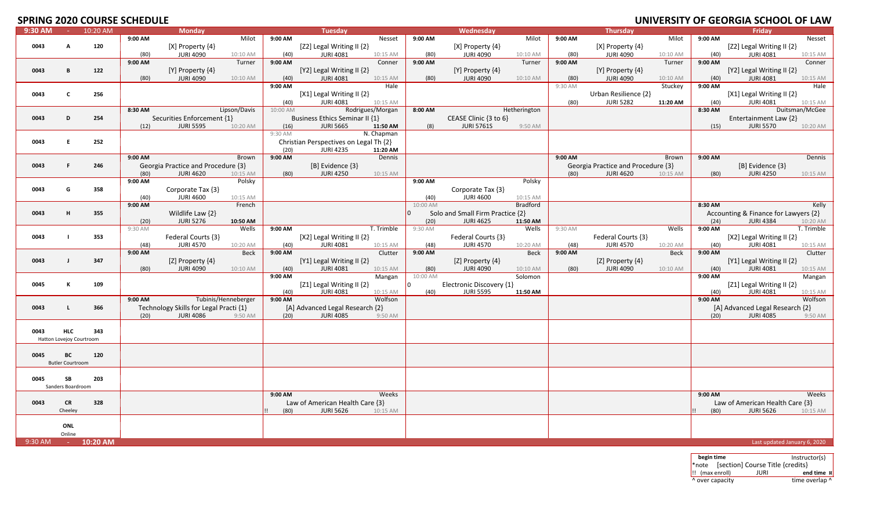# **SPRING 2020 COURSE SCHEDULE**

|         |                          |          | - -------- |                                        |                     |          |                                        |                  |          |                                  |              |         |                                    |          |         |                                      | -----          |
|---------|--------------------------|----------|------------|----------------------------------------|---------------------|----------|----------------------------------------|------------------|----------|----------------------------------|--------------|---------|------------------------------------|----------|---------|--------------------------------------|----------------|
| 9:30 AM | <b>Carlos</b>            | 10:20 AM |            | <b>Monday</b>                          |                     |          | <b>Tuesday</b>                         |                  |          | Wednesday                        |              |         | <b>Thursday</b>                    |          |         | Fridav                               |                |
|         |                          |          | 9:00 AM    |                                        | Milot               | 9:00 AM  |                                        | Nesset           | 9:00 AM  |                                  | Milot        | 9:00 AM |                                    | Milot    | 9:00 AM |                                      | Nesset         |
| 0043    | A                        | 120      |            | [X] Property {4}                       |                     |          | [Z2] Legal Writing II {2}              |                  |          | [X] Property {4}                 |              |         | $[X]$ Property $\{4\}$             |          |         | [Z2] Legal Writing II {2}            |                |
|         |                          |          | (80)       | <b>JURI 4090</b>                       | 10:10 AM            | (40)     | <b>JURI 4081</b>                       | 10:15 AM         | (80)     | <b>JURI 4090</b>                 | 10:10 AM     | (80)    | <b>JURI 4090</b>                   | 10:10 AM | (40)    | <b>JURI 4081</b>                     | 10:15 AM       |
|         |                          |          |            |                                        |                     |          |                                        |                  |          |                                  |              |         |                                    |          |         |                                      |                |
|         |                          |          | 9:00 AM    |                                        | Turner              | 9:00 AM  |                                        | Conner           | 9:00 AM  |                                  | Turner       | 9:00 AM |                                    | Turner   | 9:00 AM |                                      | Conner         |
| 0043    | B                        | 122      |            | [Y] Property {4}                       |                     |          | [Y2] Legal Writing II $\{2\}$          |                  |          | [Y] Property $\{4\}$             |              |         | $[Y]$ Property $\{4\}$             |          |         | [Y2] Legal Writing II {2}            |                |
|         |                          |          | (80)       | <b>JURI 4090</b>                       | 10:10 AM            | (40)     | <b>JURI 4081</b>                       | 10:15 AM         | (80)     | <b>JURI 4090</b>                 | 10:10 AM     | (80)    | <b>JURI 4090</b>                   | 10:10 AM | (40)    | <b>JURI 4081</b>                     | 10:15 AM       |
|         |                          |          |            |                                        |                     | 9:00 AM  |                                        | Hale             |          |                                  |              | 9:30 AM |                                    | Stuckey  | 9:00 AM |                                      | Hale           |
|         |                          |          |            |                                        |                     |          |                                        |                  |          |                                  |              |         |                                    |          |         |                                      |                |
| 0043    | C                        | 256      |            |                                        |                     |          | [X1] Legal Writing II $\{2\}$          |                  |          |                                  |              |         | Urban Resilience {2}               |          |         | [X1] Legal Writing II {2}            |                |
|         |                          |          |            |                                        |                     | (40)     | <b>JURI 4081</b>                       | 10:15 AM         |          |                                  |              | (80)    | <b>JURI 5282</b>                   | 11:20 AM | (40)    | <b>JURI 4081</b>                     | 10:15 AM       |
|         |                          |          | 8:30 AM    |                                        | Lipson/Davis        | 10:00 AM |                                        | Rodrigues/Morgan | 8:00 AM  |                                  | Hetherington |         |                                    |          | 8:30 AM |                                      | Duitsman/McGee |
| 0043    | D                        | 254      |            | Securities Enforcement {1}             |                     |          | Business Ethics Seminar II {1}         |                  |          | CEASE Clinic {3 to 6}            |              |         |                                    |          |         | Entertainment Law {2}                |                |
|         |                          |          | (12)       | <b>JURI 5595</b>                       | 10:20 AM            | (16)     | <b>JURI 5665</b>                       | 11:50 AM         | (8)      | <b>JURI 5761S</b>                | 9:50 AM      |         |                                    |          |         | <b>JURI 5570</b>                     | 10:20 AM       |
|         |                          |          |            |                                        |                     |          |                                        |                  |          |                                  |              |         |                                    |          | (15)    |                                      |                |
|         |                          |          |            |                                        |                     | 9:30 AM  |                                        | N. Chapman       |          |                                  |              |         |                                    |          |         |                                      |                |
| 0043    | E.                       | 252      |            |                                        |                     |          | Christian Perspectives on Legal Th {2} |                  |          |                                  |              |         |                                    |          |         |                                      |                |
|         |                          |          |            |                                        |                     | (20)     | <b>JURI 4235</b>                       | 11:20 AM         |          |                                  |              |         |                                    |          |         |                                      |                |
|         |                          |          | 9:00 AM    |                                        | Brown               | 9:00 AM  |                                        | Dennis           |          |                                  |              | 9:00 AM |                                    | Brown    | 9:00 AM |                                      | Dennis         |
|         |                          |          |            |                                        |                     |          |                                        |                  |          |                                  |              |         |                                    |          |         |                                      |                |
| 0043    | .F                       | 246      |            | Georgia Practice and Procedure {3}     |                     |          | [B] Evidence {3}                       |                  |          |                                  |              |         | Georgia Practice and Procedure {3} |          |         | $[B]$ Evidence $\{3\}$               |                |
|         |                          |          | (80)       | <b>JURI 4620</b>                       | 10:15 AM            | (80)     | <b>JURI 4250</b>                       | 10:15 AM         |          |                                  |              | (80)    | <b>JURI 4620</b>                   | 10:15 AM | (80)    | <b>JURI 4250</b>                     | 10:15 AM       |
|         |                          |          | 9:00 AM    |                                        | Polsky              |          |                                        |                  | 9:00 AM  |                                  | Polsky       |         |                                    |          |         |                                      |                |
| 0043    | G                        | 358      |            |                                        |                     |          |                                        |                  |          | Corporate Tax {3}                |              |         |                                    |          |         |                                      |                |
|         |                          |          |            | Corporate Tax {3}                      |                     |          |                                        |                  |          |                                  |              |         |                                    |          |         |                                      |                |
|         |                          |          | (40)       | <b>JURI 4600</b>                       | 10:15 AM            |          |                                        |                  | (40)     | <b>JURI 4600</b>                 | 10:15 AM     |         |                                    |          |         |                                      |                |
|         |                          |          | 9:00 AM    |                                        | French              |          |                                        |                  | 10:00 AM |                                  | Bradford     |         |                                    |          | 8:30 AM |                                      | Kelly          |
| 0043    | H                        | 355      |            | Wildlife Law {2}                       |                     |          |                                        |                  |          | Solo and Small Firm Practice {2} |              |         |                                    |          |         | Accounting & Finance for Lawyers {2} |                |
|         |                          |          | (20)       | <b>JURI 5276</b>                       | 10:50 AM            |          |                                        |                  | (20)     | <b>JURI 4625</b>                 | 11:50 AM     |         |                                    |          | (24)    | <b>JURI 4384</b>                     | 10:20 AM       |
|         |                          |          |            |                                        |                     |          |                                        |                  |          |                                  |              |         |                                    |          |         |                                      |                |
|         |                          |          | 9:30 AM    |                                        | Wells               | 9:00 AM  |                                        | T. Trimble       | 9:30 AM  |                                  | Wells        | 9:30 AM |                                    | Wells    | 9:00 AM |                                      | T. Trimble     |
| 0043    | $\mathbf{I}$             | 353      |            | Federal Courts {3}                     |                     |          | [X2] Legal Writing II {2}              |                  |          | Federal Courts {3}               |              |         | Federal Courts {3}                 |          |         | [X2] Legal Writing II {2}            |                |
|         |                          |          | (48)       | <b>JURI 4570</b>                       | 10:20 AM            | (40)     | <b>JURI 4081</b>                       | 10:15 AM         | (48)     | <b>JURI 4570</b>                 | 10:20 AM     | (48)    | <b>JURI 4570</b>                   | 10:20 AM | (40)    | <b>JURI 4081</b>                     | 10:15 AM       |
|         |                          |          | 9:00 AM    |                                        | Beck                | 9:00 AM  |                                        | Clutter          | 9:00 AM  |                                  | <b>Beck</b>  | 9:00 AM |                                    | Beck     | 9:00 AM |                                      | Clutter        |
|         | -1                       |          |            |                                        |                     |          |                                        |                  |          |                                  |              |         | [Z] Property {4}                   |          |         |                                      |                |
| 0043    |                          | 347      |            | [Z] Property $\{4\}$                   |                     |          | [Y1] Legal Writing II $\{2\}$          |                  |          | [Z] Property {4}                 |              |         |                                    |          |         | [Y1] Legal Writing II {2}            |                |
|         |                          |          | (80)       | <b>JURI 4090</b>                       | 10:10 AM            | (40)     | <b>JURI 4081</b>                       | 10:15 AM         | (80)     | <b>JURI 4090</b>                 | 10:10 AM     | (80)    | <b>JURI 4090</b>                   | 10:10 AM | (40)    | <b>JURI 4081</b>                     | 10:15 AM       |
|         |                          |          |            |                                        |                     | 9:00 AM  |                                        | Mangan           | 10:00 AM |                                  | Solomon      |         |                                    |          | 9:00 AM |                                      | Mangan         |
| 0045    | к                        | 109      |            |                                        |                     |          | [Z1] Legal Writing II {2}              |                  |          | Electronic Discovery {1}         |              |         |                                    |          |         | [Z1] Legal Writing II {2}            |                |
|         |                          |          |            |                                        |                     | (40)     | <b>JURI 4081</b>                       | 10:15 AM         | (40)     | <b>JURI 5595</b>                 | 11:50 AM     |         |                                    |          | (40)    | <b>JURI 4081</b>                     | 10:15 AM       |
|         |                          |          | 9:00 AM    |                                        | Tubinis/Henneberger | 9:00 AM  |                                        | Wolfson          |          |                                  |              |         |                                    |          | 9:00 AM |                                      | Wolfson        |
|         |                          |          |            |                                        |                     |          |                                        |                  |          |                                  |              |         |                                    |          |         |                                      |                |
| 0043    | $\mathbf{L}$             | 366      |            | Technology Skills for Legal Practi {1} |                     |          | [A] Advanced Legal Research {2}        |                  |          |                                  |              |         |                                    |          |         | [A] Advanced Legal Research {2}      |                |
|         |                          |          | (20)       | <b>JURI 4086</b>                       | 9:50 AM             | (20)     | <b>JURI 4085</b>                       | 9:50 AM          |          |                                  |              |         |                                    |          | (20)    | <b>JURI 4085</b>                     | 9:50 AM        |
|         |                          |          |            |                                        |                     |          |                                        |                  |          |                                  |              |         |                                    |          |         |                                      |                |
| 0043    | <b>HLC</b>               | 343      |            |                                        |                     |          |                                        |                  |          |                                  |              |         |                                    |          |         |                                      |                |
|         |                          |          |            |                                        |                     |          |                                        |                  |          |                                  |              |         |                                    |          |         |                                      |                |
|         | Hatton Lovejoy Courtroom |          |            |                                        |                     |          |                                        |                  |          |                                  |              |         |                                    |          |         |                                      |                |
|         |                          |          |            |                                        |                     |          |                                        |                  |          |                                  |              |         |                                    |          |         |                                      |                |
| 0045    | BC                       | 120      |            |                                        |                     |          |                                        |                  |          |                                  |              |         |                                    |          |         |                                      |                |
|         | <b>Butler Courtroom</b>  |          |            |                                        |                     |          |                                        |                  |          |                                  |              |         |                                    |          |         |                                      |                |
|         |                          |          |            |                                        |                     |          |                                        |                  |          |                                  |              |         |                                    |          |         |                                      |                |
|         |                          |          |            |                                        |                     |          |                                        |                  |          |                                  |              |         |                                    |          |         |                                      |                |
| 0045    | <b>SB</b>                | 203      |            |                                        |                     |          |                                        |                  |          |                                  |              |         |                                    |          |         |                                      |                |
|         | Sanders Boardroom        |          |            |                                        |                     |          |                                        |                  |          |                                  |              |         |                                    |          |         |                                      |                |
|         |                          |          |            |                                        |                     | 9:00 AM  |                                        | Weeks            |          |                                  |              |         |                                    |          | 9:00 AM |                                      | Weeks          |
| 0043    | <b>CR</b>                | 328      |            |                                        |                     |          | Law of American Health Care {3}        |                  |          |                                  |              |         |                                    |          |         | Law of American Health Care {3}      |                |
|         |                          |          |            |                                        |                     |          |                                        |                  |          |                                  |              |         |                                    |          |         |                                      |                |
|         | Cheeley                  |          |            |                                        |                     | (80)     | <b>JURI 5626</b>                       | 10:15 AM         |          |                                  |              |         |                                    |          | (80)    | <b>JURI 5626</b>                     | 10:15 AM       |
|         |                          |          |            |                                        |                     |          |                                        |                  |          |                                  |              |         |                                    |          |         |                                      |                |
|         | ONL                      |          |            |                                        |                     |          |                                        |                  |          |                                  |              |         |                                    |          |         |                                      |                |
|         | Online                   |          |            |                                        |                     |          |                                        |                  |          |                                  |              |         |                                    |          |         |                                      |                |
| 9:30 AM |                          |          |            |                                        |                     |          |                                        |                  |          |                                  |              |         |                                    |          |         |                                      |                |
|         | $\alpha=1/2$             | 10:20 AM |            |                                        |                     |          |                                        |                  |          |                                  |              |         |                                    |          |         | Last updated January 6, 2020         |                |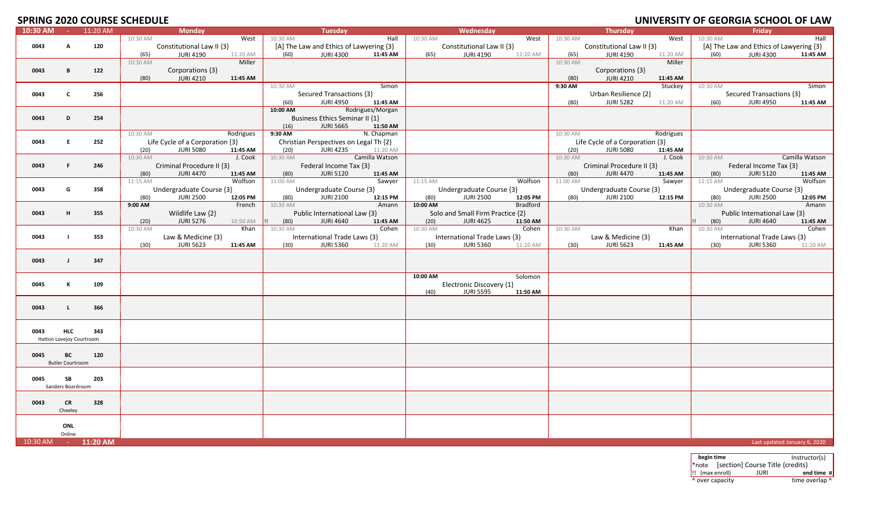# **SPRING 2020 COURSE SCHEDULE**

| 10:30 AM | $\sim 100$               | 11:20 AM   |          | Monday                          |           |          | Tuesday                                 |                  |          | Wednesday                        |          |          | Thursday                        |           |          | Friday                                  |                |
|----------|--------------------------|------------|----------|---------------------------------|-----------|----------|-----------------------------------------|------------------|----------|----------------------------------|----------|----------|---------------------------------|-----------|----------|-----------------------------------------|----------------|
|          |                          |            | 10:30 AM |                                 | West      | 10:30 AM |                                         | Hall             | 10:30 AM |                                  | West     | 10:30 AM |                                 | West      | 10:30 AM |                                         | Hall           |
| 0043     | A                        | 120        |          | Constitutional Law II {3}       |           |          | [A] The Law and Ethics of Lawyering {3} |                  |          | Constitutional Law II {3}        |          |          | Constitutional Law II {3}       |           |          | [A] The Law and Ethics of Lawyering {3} |                |
|          |                          |            | (65)     | <b>JURI 4190</b>                | 11:20 AM  | (60)     | <b>JURI 4300</b>                        | 11:45 AM         | (65)     | <b>JURI 4190</b>                 | 11:20 AM | (65)     | <b>JURI 4190</b>                | 11:20 AM  | (60)     | <b>JURI 4300</b>                        | 11:45 AM       |
|          |                          |            | 10:30 AM |                                 | Miller    |          |                                         |                  |          |                                  |          | 10:30 AM |                                 | Miller    |          |                                         |                |
|          |                          |            |          |                                 |           |          |                                         |                  |          |                                  |          |          |                                 |           |          |                                         |                |
| 0043     | B                        | 122        |          | Corporations {3}                |           |          |                                         |                  |          |                                  |          |          | Corporations {3}                |           |          |                                         |                |
|          |                          |            | (80)     | <b>JURI 4210</b>                | 11:45 AM  |          |                                         |                  |          |                                  |          | (80)     | <b>JURI 4210</b>                | 11:45 AM  |          |                                         |                |
|          |                          |            |          |                                 |           | 10:30 AM |                                         | Simon            |          |                                  |          | 9:30 AM  |                                 | Stuckey   | 10:30 AM |                                         | Simon          |
| 0043     | $\mathbf c$              | 256        |          |                                 |           |          | Secured Transactions {3}                |                  |          |                                  |          |          | Urban Resilience {2}            |           |          | Secured Transactions {3}                |                |
|          |                          |            |          |                                 |           | (60)     | JURI 4950                               | 11:45 AM         |          |                                  |          | (80)     | <b>JURI 5282</b>                | 11:20 AM  | (60)     | <b>JURI 4950</b>                        | 11:45 AM       |
|          |                          |            |          |                                 |           | 10:00 AM |                                         | Rodrigues/Morgan |          |                                  |          |          |                                 |           |          |                                         |                |
| 0043     | D                        | 254        |          |                                 |           |          | Business Ethics Seminar II {1}          |                  |          |                                  |          |          |                                 |           |          |                                         |                |
|          |                          |            |          |                                 |           | (16)     | <b>JURI 5665</b>                        | 11:50 AM         |          |                                  |          |          |                                 |           |          |                                         |                |
|          |                          |            | 10:30 AM |                                 | Rodrigues | 9:30 AM  |                                         | N. Chapman       |          |                                  |          | 10:30 AM |                                 | Rodrigues |          |                                         |                |
|          | E.                       | 252        |          | Life Cycle of a Corporation {3} |           |          |                                         |                  |          |                                  |          |          |                                 |           |          |                                         |                |
| 0043     |                          |            |          |                                 |           |          | Christian Perspectives on Legal Th {2}  |                  |          |                                  |          |          | Life Cycle of a Corporation {3} |           |          |                                         |                |
|          |                          |            | (20)     | <b>JURI 5080</b>                | 11:45 AM  | (20)     | <b>JURI 4235</b>                        | 11:20 AM         |          |                                  |          | (20)     | <b>JURI 5080</b>                | 11:45 AM  |          |                                         |                |
|          |                          |            | 10:30 AM |                                 | J. Cook   | 10:30 AM |                                         | Camilla Watson   |          |                                  |          | 10:30 AM |                                 | J. Cook   | 10:30 AM |                                         | Camilla Watson |
| 0043     | F                        | 246        |          | Criminal Procedure II {3}       |           |          | Federal Income Tax {3}                  |                  |          |                                  |          |          | Criminal Procedure II {3}       |           |          | Federal Income Tax {3}                  |                |
|          |                          |            | (80)     | <b>JURI 4470</b>                | 11:45 AM  | (80)     | <b>JURI 5120</b>                        | 11:45 AM         |          |                                  |          | (80)     | <b>JURI 4470</b>                | 11:45 AM  | (80)     | <b>JURI 5120</b>                        | 11:45 AM       |
|          |                          |            | 11:15 AM |                                 | Wolfson   | 11:00 AM |                                         | Sawyer           | 11:15 AM |                                  | Wolfson  | 11:00 AM |                                 | Sawyer    | 11:15 AM |                                         | Wolfson        |
| 0043     | G                        | 358        |          | Undergraduate Course {3}        |           |          | Undergraduate Course {3}                |                  |          | Undergraduate Course {3}         |          |          | Undergraduate Course {3}        |           |          | Undergraduate Course {3}                |                |
|          |                          |            | (80)     | <b>JURI 2500</b>                | 12:05 PM  | (80)     | <b>JURI 2100</b>                        | 12:15 PM         | (80)     | <b>JURI 2500</b>                 | 12:05 PM | (80)     | <b>JURI 2100</b>                | 12:15 PM  | (80)     | <b>JURI 2500</b>                        | 12:05 PM       |
|          |                          |            | 9:00 AM  |                                 | French    | 10:30 AM |                                         | Amann            | 10:00 AM |                                  | Bradford |          |                                 |           | 10:30 AM |                                         | Amann          |
| 0043     | н                        | 355        |          | Wildlife Law $\{2\}$            |           |          | Public International Law {3}            |                  |          | Solo and Small Firm Practice {2} |          |          |                                 |           |          | Public International Law {3}            |                |
|          |                          |            |          |                                 |           |          |                                         |                  |          |                                  |          |          |                                 |           |          |                                         |                |
|          |                          |            | (20)     | <b>JURI 5276</b>                | 10:50 AM  | (80)     | JURI 4640                               | 11:45 AM         | (20)     | <b>JURI 4625</b>                 | 11:50 AM |          |                                 |           | (80)     | <b>JURI 4640</b>                        | 11:45 AM       |
|          |                          |            | 10:30 AM |                                 | Khan      | 10:30 AM |                                         | Cohen            | 10:30 AM |                                  | Cohen    | 10:30 AM |                                 | Khan      | 10:30 AM |                                         | Cohen          |
| 0043     | $\mathbf{I}$             | 353        |          | Law & Medicine {3}              |           |          | International Trade Laws {3}            |                  |          | International Trade Laws {3}     |          |          | Law & Medicine {3}              |           |          | International Trade Laws {3}            |                |
|          |                          |            | (30)     | <b>JURI 5623</b>                | 11:45 AM  | (30)     | <b>JURI 5360</b>                        | 11:20 AM         | (30)     | <b>JURI 5360</b>                 | 11:20 AM | (30)     | <b>JURI 5623</b>                | 11:45 AM  | (30)     | <b>JURI 5360</b>                        | 11:20 AM       |
|          |                          |            |          |                                 |           |          |                                         |                  |          |                                  |          |          |                                 |           |          |                                         |                |
| 0043     | $\mathbf{I}$             | 347        |          |                                 |           |          |                                         |                  |          |                                  |          |          |                                 |           |          |                                         |                |
|          |                          |            |          |                                 |           |          |                                         |                  |          |                                  |          |          |                                 |           |          |                                         |                |
|          |                          |            |          |                                 |           |          |                                         |                  | 10:00 AM |                                  | Solomon  |          |                                 |           |          |                                         |                |
| 0045     | к                        | 109        |          |                                 |           |          |                                         |                  |          | Electronic Discovery {1}         |          |          |                                 |           |          |                                         |                |
|          |                          |            |          |                                 |           |          |                                         |                  | (40)     | <b>JURI 5595</b>                 | 11:50 AM |          |                                 |           |          |                                         |                |
|          |                          |            |          |                                 |           |          |                                         |                  |          |                                  |          |          |                                 |           |          |                                         |                |
| 0043     | $\mathbf{L}$             | 366        |          |                                 |           |          |                                         |                  |          |                                  |          |          |                                 |           |          |                                         |                |
|          |                          |            |          |                                 |           |          |                                         |                  |          |                                  |          |          |                                 |           |          |                                         |                |
|          |                          |            |          |                                 |           |          |                                         |                  |          |                                  |          |          |                                 |           |          |                                         |                |
| 0043     | <b>HLC</b>               | 343        |          |                                 |           |          |                                         |                  |          |                                  |          |          |                                 |           |          |                                         |                |
|          |                          |            |          |                                 |           |          |                                         |                  |          |                                  |          |          |                                 |           |          |                                         |                |
|          | Hatton Lovejoy Courtroom |            |          |                                 |           |          |                                         |                  |          |                                  |          |          |                                 |           |          |                                         |                |
|          |                          |            |          |                                 |           |          |                                         |                  |          |                                  |          |          |                                 |           |          |                                         |                |
| 0045     | BC                       | 120        |          |                                 |           |          |                                         |                  |          |                                  |          |          |                                 |           |          |                                         |                |
|          | <b>Butler Courtroom</b>  |            |          |                                 |           |          |                                         |                  |          |                                  |          |          |                                 |           |          |                                         |                |
|          |                          |            |          |                                 |           |          |                                         |                  |          |                                  |          |          |                                 |           |          |                                         |                |
| 0045     | SB                       | 203        |          |                                 |           |          |                                         |                  |          |                                  |          |          |                                 |           |          |                                         |                |
|          | Sanders Boardroom        |            |          |                                 |           |          |                                         |                  |          |                                  |          |          |                                 |           |          |                                         |                |
|          |                          |            |          |                                 |           |          |                                         |                  |          |                                  |          |          |                                 |           |          |                                         |                |
| 0043     | <b>CR</b>                | 328        |          |                                 |           |          |                                         |                  |          |                                  |          |          |                                 |           |          |                                         |                |
|          | Cheeley                  |            |          |                                 |           |          |                                         |                  |          |                                  |          |          |                                 |           |          |                                         |                |
|          |                          |            |          |                                 |           |          |                                         |                  |          |                                  |          |          |                                 |           |          |                                         |                |
|          |                          |            |          |                                 |           |          |                                         |                  |          |                                  |          |          |                                 |           |          |                                         |                |
|          | ONL                      |            |          |                                 |           |          |                                         |                  |          |                                  |          |          |                                 |           |          |                                         |                |
|          | Online                   |            |          |                                 |           |          |                                         |                  |          |                                  |          |          |                                 |           |          |                                         |                |
| 10:30 AM | <b>Contractor</b>        | $11:20$ AM |          |                                 |           |          |                                         |                  |          |                                  |          |          |                                 |           |          | Last updated January 6, 2020            |                |

| begin time                    |                 |                                        | Instructor(s)  |
|-------------------------------|-----------------|----------------------------------------|----------------|
|                               |                 | *note [section] Course Title {credits} |                |
| $\left  \right $ (max enroll) |                 | JURI                                   | end time x     |
|                               | ^ over capacity |                                        | time overlap ^ |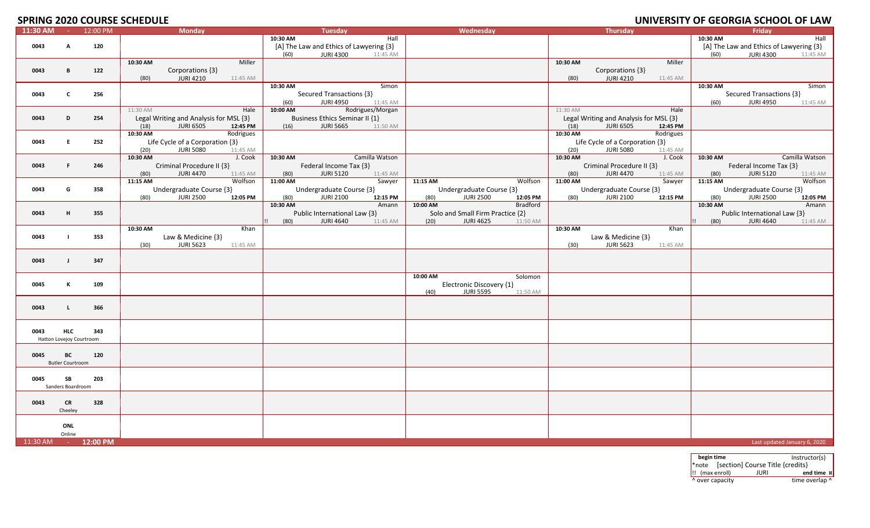# **SPRING 2020 COURSE SCHEDULE**

|          |                          |                     | JI INITO ZUZU COUNJE JUIILDUEL         |            |                                         |          |                                  |          |                                        |           |          | <u> SIMALIMITT OF SEONGIA SCHOOL OF EAM</u> |                |
|----------|--------------------------|---------------------|----------------------------------------|------------|-----------------------------------------|----------|----------------------------------|----------|----------------------------------------|-----------|----------|---------------------------------------------|----------------|
| 11:30 AM | <b>College</b>           | 12:00 PM            | <b>Monday</b>                          |            | <b>Tuesday</b>                          |          | Wednesday                        |          | <b>Thursday</b>                        |           |          | <b>Friday</b>                               |                |
|          |                          |                     |                                        | 10:30 AM   | Hall                                    |          |                                  |          |                                        |           | 10:30 AM |                                             | Hall           |
| 0043     | A                        | 120                 |                                        |            | [A] The Law and Ethics of Lawyering {3} |          |                                  |          |                                        |           |          | [A] The Law and Ethics of Lawyering {3}     |                |
|          |                          |                     |                                        |            |                                         |          |                                  |          |                                        |           |          |                                             |                |
|          |                          |                     |                                        | (60)       | <b>JURI 4300</b><br>11:45 AM            |          |                                  |          |                                        |           | (60)     | <b>JURI 4300</b>                            | 11:45 AM       |
|          |                          |                     | 10:30 AM<br>Miller                     |            |                                         |          |                                  | 10:30 AM |                                        | Miller    |          |                                             |                |
| 0043     | B                        | 122                 | Corporations {3}                       |            |                                         |          |                                  |          | Corporations {3}                       |           |          |                                             |                |
|          |                          |                     | (80)<br><b>JURI 4210</b>               |            |                                         |          |                                  | (80)     | <b>JURI 4210</b>                       | 11:45 AM  |          |                                             |                |
|          |                          |                     | 11:45 AM                               |            |                                         |          |                                  |          |                                        |           |          |                                             |                |
|          |                          |                     |                                        | 10:30 AM   | Simon                                   |          |                                  |          |                                        |           | 10:30 AM |                                             | Simon          |
| 0043     | c                        | 256                 |                                        |            | Secured Transactions {3}                |          |                                  |          |                                        |           |          | Secured Transactions {3}                    |                |
|          |                          |                     |                                        | (60)       | <b>JURI 4950</b><br>11:45 AM            |          |                                  |          |                                        |           | (60)     | <b>JURI 4950</b>                            | 11:45 AM       |
|          |                          |                     | 11:30 AM<br>Hale                       | 10:00 AM   | Rodrigues/Morgan                        |          |                                  | 11:30 AM |                                        | Hale      |          |                                             |                |
|          |                          |                     |                                        |            |                                         |          |                                  |          |                                        |           |          |                                             |                |
| 0043     | D                        | 254                 | Legal Writing and Analysis for MSL {3} |            | <b>Business Ethics Seminar II {1}</b>   |          |                                  |          | Legal Writing and Analysis for MSL {3} |           |          |                                             |                |
|          |                          |                     | <b>JURI 6505</b><br>12:45 PM<br>(18)   | (16)       | <b>JURI 5665</b><br>11:50 AM            |          |                                  | (18)     | <b>JURI 6505</b>                       | 12:45 PM  |          |                                             |                |
|          |                          |                     | 10:30 AM<br>Rodrigues                  |            |                                         |          |                                  | 10:30 AM |                                        | Rodrigues |          |                                             |                |
|          |                          |                     |                                        |            |                                         |          |                                  |          |                                        |           |          |                                             |                |
| 0043     | E.                       | 252                 | Life Cycle of a Corporation {3}        |            |                                         |          |                                  |          | Life Cycle of a Corporation {3}        |           |          |                                             |                |
|          |                          |                     | <b>JURI 5080</b><br>(20)<br>11:45 AM   |            |                                         |          |                                  | (20)     | <b>JURI 5080</b>                       | 11:45 AM  |          |                                             |                |
|          |                          |                     | 10:30 AM<br>J. Cook                    | 10:30 AM   | Camilla Watson                          |          |                                  | 10:30 AM |                                        | J. Cook   | 10:30 AM |                                             | Camilla Watson |
| 0043     | F.                       | 246                 | Criminal Procedure II {3}              |            | Federal Income Tax {3}                  |          |                                  |          |                                        |           |          | Federal Income Tax {3}                      |                |
|          |                          |                     |                                        |            |                                         |          |                                  |          | Criminal Procedure II {3}              |           |          |                                             |                |
|          |                          |                     | (80)<br><b>JURI 4470</b><br>11:45 AM   | (80)       | <b>JURI 5120</b><br>11:45 AM            |          |                                  | (80)     | <b>JURI 4470</b>                       | 11:45 AM  | (80)     | <b>JURI 5120</b>                            | 11:45 AM       |
|          |                          |                     | Wolfson<br>11:15 AM                    | 11:00 AM   | Sawyer                                  | 11:15 AM | Wolfson                          | 11:00 AM |                                        | Sawyer    | 11:15 AM |                                             | Wolfson        |
| 0043     | G                        | 358                 | Undergraduate Course {3}               |            | Undergraduate Course {3}                |          | Undergraduate Course {3}         |          | Undergraduate Course {3}               |           |          | Undergraduate Course {3}                    |                |
|          |                          |                     |                                        |            |                                         |          |                                  |          |                                        |           |          |                                             |                |
|          |                          |                     | <b>JURI 2500</b><br>(80)<br>12:05 PM   | (80)       | <b>JURI 2100</b><br>12:15 PM            | (80)     | JURI 2500<br>12:05 PM            | (80)     | <b>JURI 2100</b>                       | 12:15 PM  | (80)     | <b>JURI 2500</b>                            | 12:05 PM       |
|          |                          |                     |                                        | 10:30 AM   | Amann                                   | 10:00 AM | Bradford                         |          |                                        |           | 10:30 AM |                                             | Amann          |
| 0043     | H.                       | 355                 |                                        |            | Public International Law {3}            |          | Solo and Small Firm Practice {2} |          |                                        |           |          | Public International Law {3}                |                |
|          |                          |                     |                                        | (80)<br>П. | <b>JURI 4640</b><br>11:45 AM            | (20)     | <b>JURI 4625</b><br>11:50 AM     |          |                                        |           | (80)     | <b>JURI 4640</b>                            | 11:45 AM       |
|          |                          |                     |                                        |            |                                         |          |                                  |          |                                        |           |          |                                             |                |
|          |                          |                     | 10:30 AM<br>Khan                       |            |                                         |          |                                  | 10:30 AM |                                        | Khan      |          |                                             |                |
| 0043     |                          | 353                 | Law & Medicine {3}                     |            |                                         |          |                                  |          | Law & Medicine {3}                     |           |          |                                             |                |
|          |                          |                     | <b>JURI 5623</b><br>(30)<br>11:45 AM   |            |                                         |          |                                  | (30)     | <b>JURI 5623</b>                       | 11:45 AM  |          |                                             |                |
|          |                          |                     |                                        |            |                                         |          |                                  |          |                                        |           |          |                                             |                |
|          |                          |                     |                                        |            |                                         |          |                                  |          |                                        |           |          |                                             |                |
| 0043     | $\blacksquare$           | 347                 |                                        |            |                                         |          |                                  |          |                                        |           |          |                                             |                |
|          |                          |                     |                                        |            |                                         |          |                                  |          |                                        |           |          |                                             |                |
|          |                          |                     |                                        |            |                                         | 10:00 AM | Solomon                          |          |                                        |           |          |                                             |                |
| 0045     | K                        | 109                 |                                        |            |                                         |          | Electronic Discovery {1}         |          |                                        |           |          |                                             |                |
|          |                          |                     |                                        |            |                                         |          |                                  |          |                                        |           |          |                                             |                |
|          |                          |                     |                                        |            |                                         | (40)     | <b>JURI 5595</b><br>11:50 AM     |          |                                        |           |          |                                             |                |
|          |                          |                     |                                        |            |                                         |          |                                  |          |                                        |           |          |                                             |                |
| 0043     | $\mathsf{L}$             | 366                 |                                        |            |                                         |          |                                  |          |                                        |           |          |                                             |                |
|          |                          |                     |                                        |            |                                         |          |                                  |          |                                        |           |          |                                             |                |
|          |                          |                     |                                        |            |                                         |          |                                  |          |                                        |           |          |                                             |                |
|          |                          |                     |                                        |            |                                         |          |                                  |          |                                        |           |          |                                             |                |
| 0043     | <b>HLC</b>               | 343                 |                                        |            |                                         |          |                                  |          |                                        |           |          |                                             |                |
|          | Hatton Lovejoy Courtroom |                     |                                        |            |                                         |          |                                  |          |                                        |           |          |                                             |                |
|          |                          |                     |                                        |            |                                         |          |                                  |          |                                        |           |          |                                             |                |
|          |                          |                     |                                        |            |                                         |          |                                  |          |                                        |           |          |                                             |                |
| 0045     | BC                       | 120                 |                                        |            |                                         |          |                                  |          |                                        |           |          |                                             |                |
|          | <b>Butler Courtroom</b>  |                     |                                        |            |                                         |          |                                  |          |                                        |           |          |                                             |                |
|          |                          |                     |                                        |            |                                         |          |                                  |          |                                        |           |          |                                             |                |
| 0045     | SB                       | 203                 |                                        |            |                                         |          |                                  |          |                                        |           |          |                                             |                |
|          |                          |                     |                                        |            |                                         |          |                                  |          |                                        |           |          |                                             |                |
|          | Sanders Boardroom        |                     |                                        |            |                                         |          |                                  |          |                                        |           |          |                                             |                |
|          |                          |                     |                                        |            |                                         |          |                                  |          |                                        |           |          |                                             |                |
| 0043     | <b>CR</b>                | 328                 |                                        |            |                                         |          |                                  |          |                                        |           |          |                                             |                |
|          |                          |                     |                                        |            |                                         |          |                                  |          |                                        |           |          |                                             |                |
|          | Cheeley                  |                     |                                        |            |                                         |          |                                  |          |                                        |           |          |                                             |                |
|          |                          |                     |                                        |            |                                         |          |                                  |          |                                        |           |          |                                             |                |
|          | ONL                      |                     |                                        |            |                                         |          |                                  |          |                                        |           |          |                                             |                |
|          | Online                   |                     |                                        |            |                                         |          |                                  |          |                                        |           |          |                                             |                |
|          |                          |                     |                                        |            |                                         |          |                                  |          |                                        |           |          |                                             |                |
|          |                          | 11:30 AM - 12:00 PM |                                        |            |                                         |          |                                  |          |                                        |           |          | Last updated January 6, 2020                |                |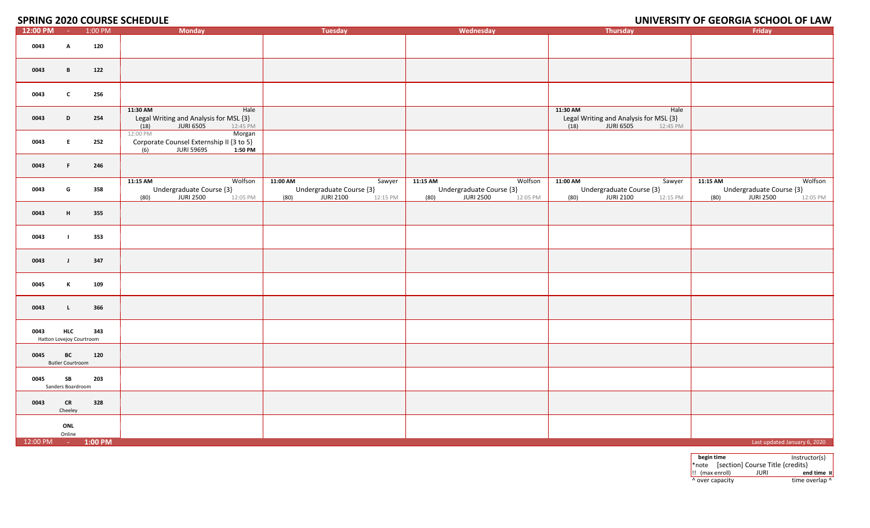#### **2020 COURSE SCHEDULE UNIVERSITY OF GEORGIA SCHOOL OF LAW**

| 12:00 PM -         |                                        | $ -$<br>1:00 PM | <b>Monday</b>                                                                                         | <b>Tuesday</b>                                                                  | Wednesday                                                                        | ---------<br>Thursday                                                                       | ------<br>----- <i>--</i> ------<br>Friday                                              |
|--------------------|----------------------------------------|-----------------|-------------------------------------------------------------------------------------------------------|---------------------------------------------------------------------------------|----------------------------------------------------------------------------------|---------------------------------------------------------------------------------------------|-----------------------------------------------------------------------------------------|
| 0043               | A                                      | 120             |                                                                                                       |                                                                                 |                                                                                  |                                                                                             |                                                                                         |
| 0043               | B                                      | 122             |                                                                                                       |                                                                                 |                                                                                  |                                                                                             |                                                                                         |
| 0043               | $\mathbf{c}$                           | 256             |                                                                                                       |                                                                                 |                                                                                  |                                                                                             |                                                                                         |
| 0043               | D                                      | 254             | 11:30 AM<br>Hale<br>Legal Writing and Analysis for MSL {3}<br>12:45 PM<br>(18)<br><b>JURI 6505</b>    |                                                                                 |                                                                                  | 11:30 AM<br>Hale<br>Legal Writing and Analysis for MSL {3}<br>12:45 PM<br>(18)<br>JURI 6505 |                                                                                         |
| 0043               | E                                      | 252             | Morgan<br>12:00 PM<br>Corporate Counsel Externship II {3 to 5}<br><b>JURI 5969S</b><br>1:50 PM<br>(6) |                                                                                 |                                                                                  |                                                                                             |                                                                                         |
| 0043               | F.                                     | 246             |                                                                                                       |                                                                                 |                                                                                  |                                                                                             |                                                                                         |
| 0043               | G                                      | 358             | 11:15 AM<br>Wolfson<br>Undergraduate Course {3}<br>JURI 2500<br>(80)<br>12:05 PM                      | 11:00 AM<br>Sawyer<br>Undergraduate Course {3}<br>JURI 2100<br>(80)<br>12:15 PM | 11:15 AM<br>Wolfson<br>Undergraduate Course {3}<br>JURI 2500<br>(80)<br>12:05 PM | 11:00 AM<br>Sawyer<br>Undergraduate Course {3}<br>(80)<br>JURI 2100<br>12:15 PM             | 11:15 AM<br>Wolfson<br>Undergraduate Course {3}<br>(80)<br><b>JURI 2500</b><br>12:05 PM |
| 0043               | H                                      | 355             |                                                                                                       |                                                                                 |                                                                                  |                                                                                             |                                                                                         |
| 0043               |                                        | 353             |                                                                                                       |                                                                                 |                                                                                  |                                                                                             |                                                                                         |
| 0043               | $\mathbf{J}$                           | 347             |                                                                                                       |                                                                                 |                                                                                  |                                                                                             |                                                                                         |
| 0045               | $\mathbf{K}$                           | 109             |                                                                                                       |                                                                                 |                                                                                  |                                                                                             |                                                                                         |
| 0043               | $\mathbf{L}$                           | 366             |                                                                                                       |                                                                                 |                                                                                  |                                                                                             |                                                                                         |
| 0043               | <b>HLC</b><br>Hatton Lovejoy Courtroom | 343             |                                                                                                       |                                                                                 |                                                                                  |                                                                                             |                                                                                         |
| 0045               | BC<br><b>Butler Courtroom</b>          | 120             |                                                                                                       |                                                                                 |                                                                                  |                                                                                             |                                                                                         |
| 0045               | SB<br>Sanders Boardroom                | 203             |                                                                                                       |                                                                                 |                                                                                  |                                                                                             |                                                                                         |
| 0043               | <b>CR</b><br>Cheeley                   | 328             |                                                                                                       |                                                                                 |                                                                                  |                                                                                             |                                                                                         |
|                    | ONL<br>Online                          |                 |                                                                                                       |                                                                                 |                                                                                  |                                                                                             |                                                                                         |
| 12:00 PM - 1:00 PM |                                        |                 |                                                                                                       |                                                                                 |                                                                                  |                                                                                             | Last updated January 6, 2020                                                            |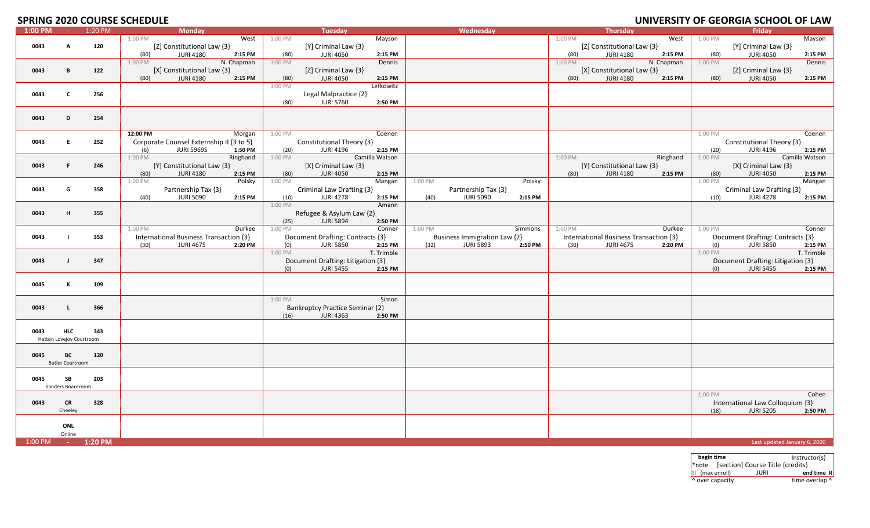# **SPRING 2020 COURSE SCHEDULE**

|         |                          | <u>JI INITU LULU UUUINJ</u> | - -------- |                                          |         |                                   |                |         |                              |         |         |                                        |            |         | SINVERSITY OF GEORGIA SCHOOL OF EATH |                |
|---------|--------------------------|-----------------------------|------------|------------------------------------------|---------|-----------------------------------|----------------|---------|------------------------------|---------|---------|----------------------------------------|------------|---------|--------------------------------------|----------------|
| 1:00 PM |                          | $-1:20 \text{ PM}$          |            | <b>Monday</b>                            |         | Tuesday                           |                |         | Wednesday                    |         |         | Thursday                               |            |         | Friday                               |                |
|         |                          |                             | 1:00 PM    | West                                     | 1:00 PM |                                   | Mayson         |         |                              |         | 1:00 PM |                                        | West       | 1:00 PM |                                      | Mayson         |
| 0043    | A                        | 120                         |            | [Z] Constitutional Law {3}               |         | [Y] Criminal Law {3}              |                |         |                              |         |         | [Z] Constitutional Law {3}             |            |         | [Y] Criminal Law {3}                 |                |
|         |                          |                             |            |                                          |         |                                   |                |         |                              |         |         |                                        |            |         |                                      |                |
|         |                          |                             | (80)       | <b>JURI 4180</b><br>2:15 PM              | (80)    | <b>JURI 4050</b>                  | 2:15 PM        |         |                              |         | (80)    | <b>JURI 4180</b>                       | 2:15 PM    | (80)    | <b>JURI 4050</b>                     | 2:15 PM        |
|         |                          |                             | 1:00 PM    | N. Chapman                               | 1:00 PM |                                   | Dennis         |         |                              |         | 1:00 PM |                                        | N. Chapman | 1:00 PM |                                      | Dennis         |
| 0043    | B                        | 122                         |            | [X] Constitutional Law {3}               |         | [Z] Criminal Law {3}              |                |         |                              |         |         | [X] Constitutional Law {3}             |            |         | [Z] Criminal Law {3}                 |                |
|         |                          |                             |            |                                          |         |                                   |                |         |                              |         |         |                                        |            |         |                                      |                |
|         |                          |                             | (80)       | <b>JURI 4180</b><br>2:15 PM              | (80)    | <b>JURI 4050</b>                  | 2:15 PM        |         |                              |         | (80)    | <b>JURI 4180</b>                       | 2:15 PM    | (80)    | <b>JURI 4050</b>                     | 2:15 PM        |
|         |                          |                             |            |                                          | 1:00 PM |                                   | Lefkowitz      |         |                              |         |         |                                        |            |         |                                      |                |
| 0043    | $\mathbf c$              | 256                         |            |                                          |         | Legal Malpractice {2}             |                |         |                              |         |         |                                        |            |         |                                      |                |
|         |                          |                             |            |                                          | (80)    | <b>JURI 5760</b>                  | 2:50 PM        |         |                              |         |         |                                        |            |         |                                      |                |
|         |                          |                             |            |                                          |         |                                   |                |         |                              |         |         |                                        |            |         |                                      |                |
|         |                          |                             |            |                                          |         |                                   |                |         |                              |         |         |                                        |            |         |                                      |                |
| 0043    | D                        | 254                         |            |                                          |         |                                   |                |         |                              |         |         |                                        |            |         |                                      |                |
|         |                          |                             |            |                                          |         |                                   |                |         |                              |         |         |                                        |            |         |                                      |                |
|         |                          |                             | 12:00 PM   | Morgan                                   | 1:00 PM |                                   | Coenen         |         |                              |         |         |                                        |            | 1:00 PM |                                      | Coenen         |
|         |                          |                             |            |                                          |         |                                   |                |         |                              |         |         |                                        |            |         |                                      |                |
| 0043    | E.                       | 252                         |            | Corporate Counsel Externship II {3 to 5} |         | Constitutional Theory {3}         |                |         |                              |         |         |                                        |            |         | Constitutional Theory {3}            |                |
|         |                          |                             | (6)        | <b>JURI 5969S</b><br>1:50 PM             | (20)    | <b>JURI 4196</b>                  | 2:15 PM        |         |                              |         |         |                                        |            | (20)    | <b>JURI 4196</b>                     | 2:15 PM        |
|         |                          |                             | 1:00 PM    | Ringhand                                 | 1:00 PM |                                   | Camilla Watson |         |                              |         | 1:00 PM |                                        | Ringhand   | 1:00 PM |                                      | Camilla Watson |
|         |                          |                             |            |                                          |         |                                   |                |         |                              |         |         |                                        |            |         |                                      |                |
| 0043    | F.                       | 246                         |            | [Y] Constitutional Law {3}               |         | [X] Criminal Law {3}              |                |         |                              |         |         | [Y] Constitutional Law {3}             |            |         | [X] Criminal Law {3}                 |                |
|         |                          |                             | (80)       | <b>JURI 4180</b><br>2:15 PM              | (80)    | <b>JURI 4050</b>                  | 2:15 PM        |         |                              |         | (80)    | <b>JURI 4180</b>                       | 2:15 PM    | (80)    | <b>JURI 4050</b>                     | 2:15 PM        |
|         |                          |                             | 1:00 PM    | Polsky                                   | 1:00 PM |                                   | Mangan         | 1:00 PM |                              | Polsky  |         |                                        |            | 1:00 PM |                                      | Mangan         |
| 0043    | G                        | 358                         |            |                                          |         |                                   |                |         |                              |         |         |                                        |            |         |                                      |                |
|         |                          |                             |            | Partnership Tax {3}                      |         | Criminal Law Drafting {3}         |                |         | Partnership Tax {3}          |         |         |                                        |            |         | Criminal Law Drafting {3}            |                |
|         |                          |                             | (40)       | <b>JURI 5090</b><br>2:15 PM              | (10)    | <b>JURI 4278</b>                  | 2:15 PM        | (40)    | <b>JURI 5090</b>             | 2:15 PM |         |                                        |            | (10)    | <b>JURI 4278</b>                     | 2:15 PM        |
|         |                          |                             |            |                                          | 1:00 PM |                                   | Amann          |         |                              |         |         |                                        |            |         |                                      |                |
| 0043    | н                        | 355                         |            |                                          |         | Refugee & Asylum Law {2}          |                |         |                              |         |         |                                        |            |         |                                      |                |
|         |                          |                             |            |                                          |         |                                   |                |         |                              |         |         |                                        |            |         |                                      |                |
|         |                          |                             |            |                                          | (25)    | <b>JURI 5894</b>                  | 2:50 PM        |         |                              |         |         |                                        |            |         |                                      |                |
|         |                          |                             | 1:00 PM    | Durkee                                   | 1:00 PM |                                   | Conner         | 1:00 PM |                              | Simmons | 1:00 PM |                                        | Durkee     | 1:00 PM |                                      | Conner         |
| 0043    | $\blacksquare$           | 353                         |            | International Business Transaction {3}   |         | Document Drafting: Contracts {3}  |                |         | Business Immigration Law {2} |         |         | International Business Transaction {3} |            |         | Document Drafting: Contracts {3}     |                |
|         |                          |                             | (30)       | <b>JURI 4675</b><br>2:20 PM              | (0)     | <b>JURI 5850</b>                  | 2:15 PM        | (32)    | <b>JURI 5893</b>             | 2:50 PM | (30)    | <b>JURI 4675</b>                       | 2:20 PM    | (0)     | <b>JURI 5850</b>                     | 2:15 PM        |
|         |                          |                             |            |                                          | 1:00 PM |                                   | T. Trimble     |         |                              |         |         |                                        |            | 1:00 PM |                                      | T. Trimble     |
|         |                          |                             |            |                                          |         |                                   |                |         |                              |         |         |                                        |            |         |                                      |                |
| 0043    | $\mathbf{I}$             | 347                         |            |                                          |         | Document Drafting: Litigation {3} |                |         |                              |         |         |                                        |            |         | Document Drafting: Litigation {3}    |                |
|         |                          |                             |            |                                          | (0)     | <b>JURI 5455</b>                  | 2:15 PM        |         |                              |         |         |                                        |            | (0)     | <b>JURI 5455</b>                     | 2:15 PM        |
|         |                          |                             |            |                                          |         |                                   |                |         |                              |         |         |                                        |            |         |                                      |                |
|         |                          |                             |            |                                          |         |                                   |                |         |                              |         |         |                                        |            |         |                                      |                |
| 0045    | К                        | 109                         |            |                                          |         |                                   |                |         |                              |         |         |                                        |            |         |                                      |                |
|         |                          |                             |            |                                          |         |                                   |                |         |                              |         |         |                                        |            |         |                                      |                |
|         |                          |                             |            |                                          | 1:00 PM |                                   | Simon          |         |                              |         |         |                                        |            |         |                                      |                |
| 0043    | $\mathsf{L}$             | 366                         |            |                                          |         | Bankruptcy Practice Seminar {2}   |                |         |                              |         |         |                                        |            |         |                                      |                |
|         |                          |                             |            |                                          |         |                                   |                |         |                              |         |         |                                        |            |         |                                      |                |
|         |                          |                             |            |                                          | (16)    | <b>JURI 4363</b>                  | 2:50 PM        |         |                              |         |         |                                        |            |         |                                      |                |
|         |                          |                             |            |                                          |         |                                   |                |         |                              |         |         |                                        |            |         |                                      |                |
| 0043    | <b>HLC</b>               | 343                         |            |                                          |         |                                   |                |         |                              |         |         |                                        |            |         |                                      |                |
|         | Hatton Lovejoy Courtroom |                             |            |                                          |         |                                   |                |         |                              |         |         |                                        |            |         |                                      |                |
|         |                          |                             |            |                                          |         |                                   |                |         |                              |         |         |                                        |            |         |                                      |                |
|         |                          |                             |            |                                          |         |                                   |                |         |                              |         |         |                                        |            |         |                                      |                |
| 0045    | BC                       | 120                         |            |                                          |         |                                   |                |         |                              |         |         |                                        |            |         |                                      |                |
|         | <b>Butler Courtroom</b>  |                             |            |                                          |         |                                   |                |         |                              |         |         |                                        |            |         |                                      |                |
|         |                          |                             |            |                                          |         |                                   |                |         |                              |         |         |                                        |            |         |                                      |                |
|         |                          |                             |            |                                          |         |                                   |                |         |                              |         |         |                                        |            |         |                                      |                |
| 0045    | SB                       | 203                         |            |                                          |         |                                   |                |         |                              |         |         |                                        |            |         |                                      |                |
|         | Sanders Boardroom        |                             |            |                                          |         |                                   |                |         |                              |         |         |                                        |            |         |                                      |                |
|         |                          |                             |            |                                          |         |                                   |                |         |                              |         |         |                                        |            | 1:00 PM |                                      | Cohen          |
|         |                          |                             |            |                                          |         |                                   |                |         |                              |         |         |                                        |            |         |                                      |                |
| 0043    | <b>CR</b>                | 328                         |            |                                          |         |                                   |                |         |                              |         |         |                                        |            |         | International Law Colloquium {3}     |                |
|         | Cheeley                  |                             |            |                                          |         |                                   |                |         |                              |         |         |                                        |            | (18)    | <b>JURI 5205</b>                     | 2:50 PM        |
|         |                          |                             |            |                                          |         |                                   |                |         |                              |         |         |                                        |            |         |                                      |                |
|         | ONL                      |                             |            |                                          |         |                                   |                |         |                              |         |         |                                        |            |         |                                      |                |
|         |                          |                             |            |                                          |         |                                   |                |         |                              |         |         |                                        |            |         |                                      |                |
|         | Online                   |                             |            |                                          |         |                                   |                |         |                              |         |         |                                        |            |         |                                      |                |
| 1:00 PM | $\sim 100$               | 1:20 PM                     |            |                                          |         |                                   |                |         |                              |         |         |                                        |            |         | Last updated January 6, 2020         |                |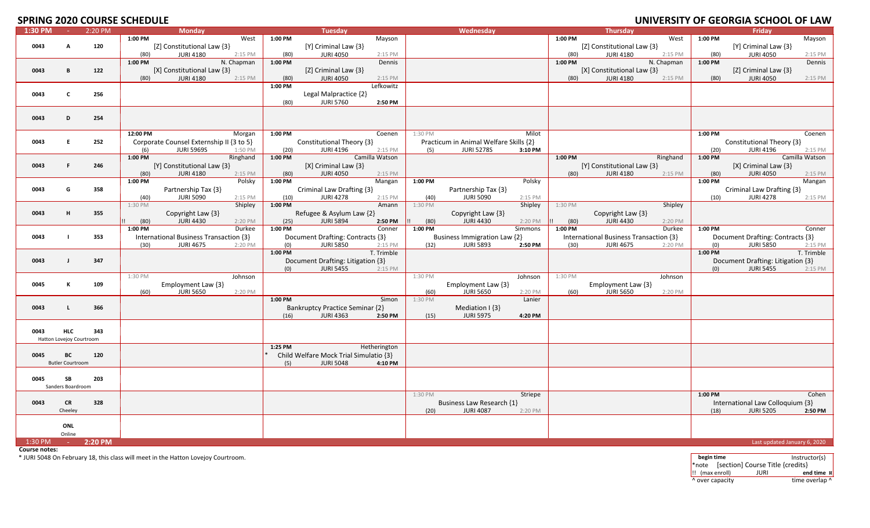# **SPRING 2020 COURSE SCHEDULE**

|         |                          | ----    | -------- |                                          |            |           |                                        |                |         |                                        |         |         |                                        |            |           | <u> SINTENSITT ST SESNSIM SSIISSE ST EAM</u> |                |
|---------|--------------------------|---------|----------|------------------------------------------|------------|-----------|----------------------------------------|----------------|---------|----------------------------------------|---------|---------|----------------------------------------|------------|-----------|----------------------------------------------|----------------|
| 1:30 PM | <b>College</b>           | 2:20 PM |          | <b>Monday</b>                            |            |           | Tuesday                                |                |         | Wednesday                              |         |         | Thursday                               |            |           | Fridav                                       |                |
|         |                          |         | 1:00 PM  |                                          | West       | 1:00 PM   |                                        | Mayson         |         |                                        |         | 1:00 PM |                                        | West       | 1:00 PM   |                                              | Mayson         |
| 0043    | A                        | 120     |          | [Z] Constitutional Law {3}               |            |           | [Y] Criminal Law {3}                   |                |         |                                        |         |         | [Z] Constitutional Law {3}             |            |           | [Y] Criminal Law {3}                         |                |
|         |                          |         | (80)     | <b>JURI 4180</b>                         | 2:15 PM    | (80)      | <b>JURI 4050</b>                       | 2:15 PM        |         |                                        |         | (80)    | <b>JURI 4180</b>                       | 2:15 PM    | (80)      | <b>JURI 4050</b>                             | 2:15 PM        |
|         |                          |         |          |                                          |            |           |                                        |                |         |                                        |         |         |                                        |            |           |                                              |                |
|         |                          |         | 1:00 PM  |                                          | N. Chapman | 1:00 PM   |                                        | Dennis         |         |                                        |         | 1:00 PM |                                        | N. Chapman | 1:00 PM   |                                              | Dennis         |
| 0043    | B                        | 122     |          | [X] Constitutional Law {3}               |            |           | [Z] Criminal Law {3}                   |                |         |                                        |         |         | [X] Constitutional Law {3}             |            |           | [Z] Criminal Law {3}                         |                |
|         |                          |         | (80)     | <b>JURI 4180</b>                         | 2:15 PM    | (80)      | <b>JURI 4050</b>                       | 2:15 PM        |         |                                        |         | (80)    | <b>JURI 4180</b>                       | 2:15 PM    | (80)      | <b>JURI 4050</b>                             | 2:15 PM        |
|         |                          |         |          |                                          |            | 1:00 PM   |                                        | Lefkowitz      |         |                                        |         |         |                                        |            |           |                                              |                |
|         |                          |         |          |                                          |            |           |                                        |                |         |                                        |         |         |                                        |            |           |                                              |                |
| 0043    | c                        | 256     |          |                                          |            |           | Legal Malpractice {2}                  |                |         |                                        |         |         |                                        |            |           |                                              |                |
|         |                          |         |          |                                          |            | (80)      | <b>JURI 5760</b>                       | 2:50 PM        |         |                                        |         |         |                                        |            |           |                                              |                |
|         |                          |         |          |                                          |            |           |                                        |                |         |                                        |         |         |                                        |            |           |                                              |                |
| 0043    | D                        | 254     |          |                                          |            |           |                                        |                |         |                                        |         |         |                                        |            |           |                                              |                |
|         |                          |         |          |                                          |            |           |                                        |                |         |                                        |         |         |                                        |            |           |                                              |                |
|         |                          |         |          |                                          |            |           |                                        |                |         |                                        |         |         |                                        |            |           |                                              |                |
|         |                          |         | 12:00 PM |                                          | Morgan     | 1:00 PM   |                                        | Coenen         | 1:30 PM |                                        | Milot   |         |                                        |            | 1:00 PM   |                                              | Coenen         |
| 0043    | F.                       | 252     |          | Corporate Counsel Externship II {3 to 5} |            |           | Constitutional Theory {3}              |                |         | Practicum in Animal Welfare Skills {2} |         |         |                                        |            |           | Constitutional Theory {3}                    |                |
|         |                          |         | (6)      | <b>JURI 5969S</b>                        | 1:50 PM    | (20)      | <b>JURI 4196</b>                       | 2:15 PM        | (5)     | <b>JURI 5278S</b>                      | 3:10 PM |         |                                        |            | (20)      | <b>JURI 4196</b>                             | 2:15 PM        |
|         |                          |         | 1:00 PM  |                                          | Ringhand   | 1:00 PM   |                                        | Camilla Watson |         |                                        |         | 1:00 PM |                                        | Ringhand   | 1:00 PM   |                                              | Camilla Watson |
|         |                          |         |          |                                          |            |           |                                        |                |         |                                        |         |         |                                        |            |           |                                              |                |
| 0043    | F                        | 246     |          | [Y] Constitutional Law {3}               |            |           | $[X]$ Criminal Law $\{3\}$             |                |         |                                        |         |         | [Y] Constitutional Law {3}             |            |           | [X] Criminal Law {3}                         |                |
|         |                          |         | (80)     | <b>JURI 4180</b>                         | 2:15 PM    | (80)      | <b>JURI 4050</b>                       | 2:15 PM        |         |                                        |         | (80)    | <b>JURI 4180</b>                       | 2:15 PM    | (80)      | <b>JURI 4050</b>                             | 2:15 PM        |
|         |                          |         | 1:00 PM  |                                          | Polsky     | 1:00 PM   |                                        | Mangan         | 1:00 PM |                                        | Polsky  |         |                                        |            | 1:00 PM   |                                              | Mangan         |
| 0043    | G                        | 358     |          | Partnership Tax {3}                      |            |           | Criminal Law Drafting {3}              |                |         | Partnership Tax {3}                    |         |         |                                        |            |           | Criminal Law Drafting {3}                    |                |
|         |                          |         |          |                                          |            |           |                                        |                |         |                                        |         |         |                                        |            |           |                                              |                |
|         |                          |         | (40)     | <b>JURI 5090</b>                         | 2:15 PM    | (10)      | <b>JURI 4278</b>                       | 2:15 PM        | (40)    | <b>JURI 5090</b>                       | 2:15 PM |         |                                        |            | (10)      | <b>JURI 4278</b>                             | 2:15 PM        |
|         |                          |         | 1:30 PM  |                                          | Shipley    | 1:00 PM   |                                        | Amann          | 1:30 PM |                                        | Shipley | 1:30 PM |                                        | Shipley    |           |                                              |                |
| 0043    | H                        | 355     |          | Copyright Law {3}                        |            |           | Refugee & Asylum Law {2}               |                |         | Copyright Law {3}                      |         |         | Copyright Law {3}                      |            |           |                                              |                |
|         |                          |         | (80)     | <b>JURI 4430</b>                         | 2:20 PM    | (25)      | <b>JURI 5894</b>                       | 2:50 PM        | (80)    | <b>JURI 4430</b>                       | 2:20 PM | (80)    | <b>JURI 4430</b>                       | 2:20 PM    |           |                                              |                |
|         |                          |         | 1:00 PM  |                                          | Durkee     | 1:00 PM   |                                        | Conner         | 1:00 PM |                                        | Simmons | 1:00 PM |                                        | Durkee     | 1:00 PM   |                                              | Conner         |
|         |                          |         |          |                                          |            |           |                                        |                |         |                                        |         |         |                                        |            |           |                                              |                |
| 0043    |                          | 353     |          | International Business Transaction {3}   |            |           | Document Drafting: Contracts {3}       |                |         | Business Immigration Law {2}           |         |         | International Business Transaction {3} |            |           | Document Drafting: Contracts {3}             |                |
|         |                          |         | (30)     | <b>JURI 4675</b>                         | 2:20 PM    | (0)       | <b>JURI 5850</b>                       | 2:15 PM        | (32)    | <b>JURI 5893</b>                       | 2:50 PM | (30)    | <b>JURI 4675</b>                       | 2:20 PM    | (0)       | <b>JURI 5850</b>                             | 2:15 PM        |
|         |                          |         |          |                                          |            | $1:00$ PM |                                        | T. Trimble     |         |                                        |         |         |                                        |            | $1:00$ PM |                                              | T. Trimble     |
| 0043    | J.                       | 347     |          |                                          |            |           | Document Drafting: Litigation {3}      |                |         |                                        |         |         |                                        |            |           | Document Drafting: Litigation {3}            |                |
|         |                          |         |          |                                          |            | (0)       | <b>JURI 5455</b>                       | 2:15 PM        |         |                                        |         |         |                                        |            | (0)       | <b>JURI 5455</b>                             | 2:15 PM        |
|         |                          |         |          |                                          |            |           |                                        |                |         |                                        |         |         |                                        |            |           |                                              |                |
|         |                          |         | 1:30 PM  |                                          | Johnson    |           |                                        |                | 1:30 PM |                                        | Johnson | 1:30 PM |                                        | Johnson    |           |                                              |                |
| 0045    | к                        | 109     |          | Employment Law {3}                       |            |           |                                        |                |         | Employment Law {3}                     |         |         | Employment Law {3}                     |            |           |                                              |                |
|         |                          |         | (60)     | <b>JURI 5650</b>                         | 2:20 PM    |           |                                        |                | (60)    | <b>JURI 5650</b>                       | 2:20 PM | (60)    | <b>JURI 5650</b>                       | 2:20 PM    |           |                                              |                |
|         |                          |         |          |                                          |            | 1:00 PM   |                                        | Simon          | 1:30 PM |                                        | Lanier  |         |                                        |            |           |                                              |                |
| 0043    | L                        | 366     |          |                                          |            |           | Bankruptcy Practice Seminar {2}        |                |         | Mediation $ \{3\} $                    |         |         |                                        |            |           |                                              |                |
|         |                          |         |          |                                          |            |           |                                        |                |         |                                        |         |         |                                        |            |           |                                              |                |
|         |                          |         |          |                                          |            | (16)      | <b>JURI 4363</b>                       | 2:50 PM        | (15)    | <b>JURI 5975</b>                       | 4:20 PM |         |                                        |            |           |                                              |                |
|         |                          |         |          |                                          |            |           |                                        |                |         |                                        |         |         |                                        |            |           |                                              |                |
| 0043    | <b>HLC</b>               | 343     |          |                                          |            |           |                                        |                |         |                                        |         |         |                                        |            |           |                                              |                |
|         | Hatton Lovejoy Courtroom |         |          |                                          |            |           |                                        |                |         |                                        |         |         |                                        |            |           |                                              |                |
|         |                          |         |          |                                          |            | 1:25 PM   |                                        | Hetherington   |         |                                        |         |         |                                        |            |           |                                              |                |
|         |                          |         |          |                                          |            |           |                                        |                |         |                                        |         |         |                                        |            |           |                                              |                |
| 0045    | BC                       | 120     |          |                                          |            |           | Child Welfare Mock Trial Simulatio {3} |                |         |                                        |         |         |                                        |            |           |                                              |                |
|         | <b>Butler Courtroom</b>  |         |          |                                          |            | (5)       | <b>JURI 5048</b>                       | 4:10 PM        |         |                                        |         |         |                                        |            |           |                                              |                |
|         |                          |         |          |                                          |            |           |                                        |                |         |                                        |         |         |                                        |            |           |                                              |                |
| 0045    | SB                       | 203     |          |                                          |            |           |                                        |                |         |                                        |         |         |                                        |            |           |                                              |                |
|         | Sanders Boardroom        |         |          |                                          |            |           |                                        |                |         |                                        |         |         |                                        |            |           |                                              |                |
|         |                          |         |          |                                          |            |           |                                        |                |         |                                        |         |         |                                        |            |           |                                              |                |
|         |                          |         |          |                                          |            |           |                                        |                | 1:30 PM |                                        | Striepe |         |                                        |            | 1:00 PM   |                                              | Cohen          |
| 0043    | <b>CR</b>                | 328     |          |                                          |            |           |                                        |                |         | Business Law Research {1}              |         |         |                                        |            |           | International Law Colloquium {3}             |                |
|         | Cheeley                  |         |          |                                          |            |           |                                        |                | (20)    | <b>JURI 4087</b>                       | 2:20 PM |         |                                        |            | (18)      | <b>JURI 5205</b>                             | 2:50 PM        |
|         |                          |         |          |                                          |            |           |                                        |                |         |                                        |         |         |                                        |            |           |                                              |                |
|         | ONL                      |         |          |                                          |            |           |                                        |                |         |                                        |         |         |                                        |            |           |                                              |                |
|         |                          |         |          |                                          |            |           |                                        |                |         |                                        |         |         |                                        |            |           |                                              |                |
|         | Online                   |         |          |                                          |            |           |                                        |                |         |                                        |         |         |                                        |            |           |                                              |                |
| 1:30 PM | $\sim 10^{-1}$           | 2:20 PM |          |                                          |            |           |                                        |                |         |                                        |         |         |                                        |            |           | Last updated January 6, 2020                 |                |

**Course notes:**

\* JURI 5048 On February 18, this class will meet in the Hatton Lovejoy Courtroom. **begin time** Instructor(s)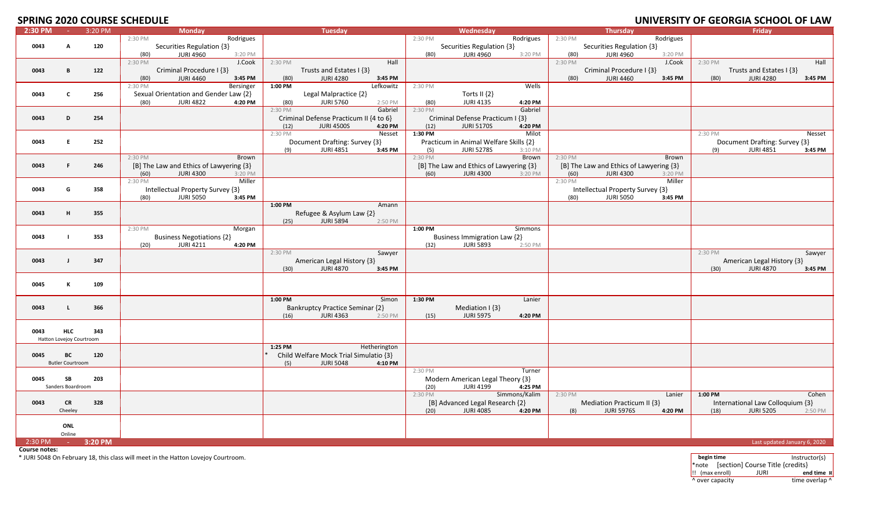# **SPRING 2020 COURSE SCHEDULE**

|         |                          |                      | ULU COONJE JUNEDUEL                     |                                        |                                         |                                         | <u>UNIVERSITI UI JEURUM JUNUUL UI EAN</u> |
|---------|--------------------------|----------------------|-----------------------------------------|----------------------------------------|-----------------------------------------|-----------------------------------------|-------------------------------------------|
| 2:30 PM | <b>Carl</b>              | 3:20 PM              | <b>Monday</b>                           | <b>Tuesday</b>                         | Wednesday                               | <b>Thursday</b>                         | Friday                                    |
|         |                          |                      | 2:30 PM<br>Rodrigues                    |                                        | 2:30 PM<br>Rodrigues                    | 2:30 PM<br>Rodrigues                    |                                           |
| 0043    | A                        | 120                  | Securities Regulation {3}               |                                        | Securities Regulation {3}               | Securities Regulation {3}               |                                           |
|         |                          |                      | <b>JURI 4960</b><br>3:20 PM<br>(80)     |                                        | <b>JURI 4960</b><br>3:20 PM<br>(80)     | (80)<br><b>JURI 4960</b><br>3:20 PM     |                                           |
|         |                          |                      | 2:30 PM<br>J.Cook                       | 2:30 PM<br>Hall                        |                                         | 2:30 PM<br>J.Cook                       | 2:30 PM<br>Hall                           |
|         |                          |                      |                                         |                                        |                                         |                                         |                                           |
| 0043    | в                        | 122                  | Criminal Procedure I {3}                | Trusts and Estates I {3}               |                                         | Criminal Procedure I {3}                | Trusts and Estates I {3}                  |
|         |                          |                      | (80)<br><b>JURI 4460</b><br>3:45 PM     | (80)<br><b>JURI 4280</b><br>3:45 PM    |                                         | (80)<br><b>JURI 4460</b><br>3:45 PM     | (80)<br><b>JURI 4280</b><br>3:45 PM       |
|         |                          |                      | 2:30 PM<br><b>Bersinger</b>             | Lefkowitz<br>1:00 PM                   | 2:30 PM<br>Wells                        |                                         |                                           |
| 0043    | C                        | 256                  | Sexual Orientation and Gender Law {2}   | Legal Malpractice {2}                  | Torts II {2}                            |                                         |                                           |
|         |                          |                      | <b>JURI 4822</b><br>4:20 PM<br>(80)     | <b>JURI 5760</b><br>(80)<br>2:50 PM    | (80)<br><b>JURI 4135</b><br>4:20 PM     |                                         |                                           |
|         |                          |                      |                                         | 2:30 PM                                | 2:30 PM                                 |                                         |                                           |
|         |                          |                      |                                         | Gabriel                                | Gabriel                                 |                                         |                                           |
| 0043    | D                        | 254                  |                                         | Criminal Defense Practicum II {4 to 6} | Criminal Defense Practicum I {3}        |                                         |                                           |
|         |                          |                      |                                         | <b>JURI 4500S</b><br>4:20 PM<br>(12)   | (12)<br><b>JURI 5170S</b><br>4:20 PM    |                                         |                                           |
|         |                          |                      |                                         | 2:30 PM<br>Nesset                      | 1:30 PM<br>Milot                        |                                         | 2:30 PM<br>Nesset                         |
| 0043    | E.                       | 252                  |                                         | Document Drafting: Survey {3}          | Practicum in Animal Welfare Skills {2}  |                                         | Document Drafting: Survey {3}             |
|         |                          |                      |                                         | <b>JURI 4851</b><br>(9)<br>3:45 PM     | <b>JURI 5278S</b><br>(5)<br>3:10 PM     |                                         | <b>JURI 4851</b><br>(9)<br>3:45 PM        |
|         |                          |                      |                                         |                                        |                                         |                                         |                                           |
|         |                          |                      | 2:30 PM<br>Brown                        |                                        | 2:30 PM<br>Brown                        | 2:30 PM<br><b>Brown</b>                 |                                           |
| 0043    | F.                       | 246                  | [B] The Law and Ethics of Lawyering {3} |                                        | [B] The Law and Ethics of Lawyering {3} | [B] The Law and Ethics of Lawyering {3} |                                           |
|         |                          |                      | <b>JURI 4300</b><br>3:20 PM<br>(60)     |                                        | <b>JURI 4300</b><br>(60)<br>3:20 PM     | <b>JURI 4300</b><br>3:20 PM<br>(60)     |                                           |
|         |                          |                      | 2:30 PM<br>Miller                       |                                        |                                         | 2:30 PM<br>Miller                       |                                           |
|         | G                        | 358                  | Intellectual Property Survey {3}        |                                        |                                         |                                         |                                           |
| 0043    |                          |                      |                                         |                                        |                                         | Intellectual Property Survey {3}        |                                           |
|         |                          |                      | <b>JURI 5050</b><br>3:45 PM<br>(80)     |                                        |                                         | (80)<br><b>JURI 5050</b><br>3:45 PM     |                                           |
|         |                          |                      |                                         | 1:00 PM<br>Amann                       |                                         |                                         |                                           |
| 0043    | H                        | 355                  |                                         | Refugee & Asylum Law {2}               |                                         |                                         |                                           |
|         |                          |                      |                                         | <b>JURI 5894</b><br>(25)<br>2:50 PM    |                                         |                                         |                                           |
|         |                          |                      | 2:30 PM<br>Morgan                       |                                        | 1:00 PM<br>Simmons                      |                                         |                                           |
|         |                          |                      |                                         |                                        |                                         |                                         |                                           |
| 0043    |                          | 353                  | <b>Business Negotiations {2}</b>        |                                        | Business Immigration Law {2}            |                                         |                                           |
|         |                          |                      | (20)<br><b>JURI 4211</b><br>4:20 PM     |                                        | <b>JURI 5893</b><br>(32)<br>2:50 PM     |                                         |                                           |
|         |                          |                      |                                         | 2:30 PM<br>Sawyer                      |                                         |                                         | 2:30 PM<br>Sawyer                         |
| 0043    | $\mathbf{I}$             | 347                  |                                         | American Legal History {3}             |                                         |                                         | American Legal History {3}                |
|         |                          |                      |                                         | <b>JURI 4870</b><br>(30)<br>3:45 PM    |                                         |                                         | <b>JURI 4870</b><br>3:45 PM<br>(30)       |
|         |                          |                      |                                         |                                        |                                         |                                         |                                           |
|         | К                        |                      |                                         |                                        |                                         |                                         |                                           |
| 0045    |                          | 109                  |                                         |                                        |                                         |                                         |                                           |
|         |                          |                      |                                         |                                        |                                         |                                         |                                           |
|         |                          |                      |                                         | 1:00 PM<br>Simon                       | 1:30 PM<br>Lanier                       |                                         |                                           |
| 0043    | $\mathbf{L}$             | 366                  |                                         | Bankruptcy Practice Seminar {2}        | Mediation $ \{3\} $                     |                                         |                                           |
|         |                          |                      |                                         | <b>JURI 4363</b><br>(16)<br>2:50 PM    | (15)<br><b>JURI 5975</b><br>4:20 PM     |                                         |                                           |
|         |                          |                      |                                         |                                        |                                         |                                         |                                           |
| 0043    | <b>HLC</b>               | 343                  |                                         |                                        |                                         |                                         |                                           |
|         |                          |                      |                                         |                                        |                                         |                                         |                                           |
|         | Hatton Lovejoy Courtroom |                      |                                         |                                        |                                         |                                         |                                           |
|         |                          |                      |                                         | 1:25 PM<br>Hetherington                |                                         |                                         |                                           |
| 0045    | BC                       | 120                  |                                         | Child Welfare Mock Trial Simulatio {3} |                                         |                                         |                                           |
|         | <b>Butler Courtroom</b>  |                      |                                         | <b>JURI 5048</b><br>4:10 PM<br>(5)     |                                         |                                         |                                           |
|         |                          |                      |                                         |                                        | 2:30 PM<br>Turner                       |                                         |                                           |
| 0045    | SB                       | 203                  |                                         |                                        |                                         |                                         |                                           |
|         |                          |                      |                                         |                                        | Modern American Legal Theory {3}        |                                         |                                           |
|         | Sanders Boardroom        |                      |                                         |                                        | <b>JURI 4199</b><br>4:25 PM<br>(20)     |                                         |                                           |
|         |                          |                      |                                         |                                        | Simmons/Kalim<br>2:30 PM                | 2:30 PM<br>Lanier                       | 1:00 PM<br>Cohen                          |
| 0043    | <b>CR</b>                | 328                  |                                         |                                        | [B] Advanced Legal Research {2}         | Mediation Practicum II {3}              | International Law Colloquium {3}          |
|         | Cheeley                  |                      |                                         |                                        | <b>JURI 4085</b><br>(20)<br>4:20 PM     | <b>JURI 5976S</b><br>(8)<br>4:20 PM     | (18)<br><b>JURI 5205</b><br>2:50 PM       |
|         |                          |                      |                                         |                                        |                                         |                                         |                                           |
|         | <b>ONL</b>               |                      |                                         |                                        |                                         |                                         |                                           |
|         |                          |                      |                                         |                                        |                                         |                                         |                                           |
|         | Online                   |                      |                                         |                                        |                                         |                                         |                                           |
| 2:30 PM | $\sim 100$               | $3:20 P\overline{M}$ |                                         |                                        |                                         |                                         | Last updated January 6, 2020              |

**Course notes:**

\* JURI 5048 On February 18, this class will meet in the Hatton Lovejoy Courtroom. **begin time** Instructor(s)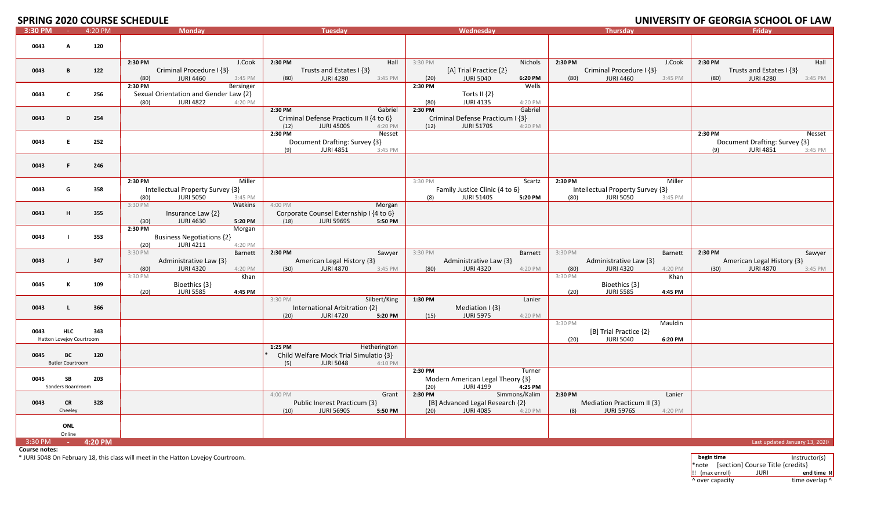# **2020 COURSE SCHEDULE UNIVERSITY OF GEORGIA SCHOOL OF LAW**

| 3:30 PM |                                        | 4:20 PM | <b>Monday</b>                                                                                        | <b>Tuesday</b>                                                                                          | Wednesday                                                                                          | <b>Thursday</b>                                                                              | Friday                                                                                   |
|---------|----------------------------------------|---------|------------------------------------------------------------------------------------------------------|---------------------------------------------------------------------------------------------------------|----------------------------------------------------------------------------------------------------|----------------------------------------------------------------------------------------------|------------------------------------------------------------------------------------------|
| 0043    | A                                      | 120     |                                                                                                      |                                                                                                         |                                                                                                    |                                                                                              |                                                                                          |
| 0043    | в                                      | 122     | 2:30 PM<br>J.Cook<br>Criminal Procedure I {3}<br><b>JURI 4460</b><br>3:45 PM<br>(80)                 | 2:30 PM<br>Hall<br>Trusts and Estates I {3}<br><b>JURI 4280</b><br>(80)<br>3:45 PM                      | 3:30 PM<br>Nichols<br>[A] Trial Practice {2}<br>(20)<br><b>JURI 5040</b><br>6:20 PM                | 2:30 PM<br>J.Cook<br>Criminal Procedure I {3}<br><b>JURI 4460</b><br>(80)<br>3:45 PM         | 2:30 PM<br>Hall<br>Trusts and Estates I {3}<br><b>JURI 4280</b><br>(80)<br>3:45 PM       |
| 0043    | C                                      | 256     | 2:30 PM<br>Bersinger<br>Sexual Orientation and Gender Law {2}<br><b>JURI 4822</b><br>(80)<br>4:20 PM |                                                                                                         | Wells<br>2:30 PM<br>Torts II $\{2\}$<br><b>JURI 4135</b><br>(80)<br>4:20 PM                        |                                                                                              |                                                                                          |
| 0043    | D                                      | 254     |                                                                                                      | 2:30 PM<br>Gabriel<br>Criminal Defense Practicum II {4 to 6}<br><b>JURI 4500S</b><br>4:20 PM<br>(12)    | 2:30 PM<br>Gabriel<br>Criminal Defense Practicum I {3}<br>(12)<br><b>JURI 5170S</b><br>4:20 PM     |                                                                                              |                                                                                          |
| 0043    | E.                                     | 252     |                                                                                                      | 2:30 PM<br>Nesset<br>Document Drafting: Survey {3}<br><b>JURI 4851</b><br>(9)<br>3:45 PM                |                                                                                                    |                                                                                              | 2:30 PM<br>Nesset<br>Document Drafting: Survey {3}<br><b>JURI 4851</b><br>(9)<br>3:45 PM |
| 0043    | F.                                     | 246     |                                                                                                      |                                                                                                         |                                                                                                    |                                                                                              |                                                                                          |
| 0043    | G                                      | 358     | 2:30 PM<br>Miller<br>Intellectual Property Survey {3}<br>(80)<br><b>JURI 5050</b><br>3:45 PM         |                                                                                                         | 3:30 PM<br>Scartz<br>Family Justice Clinic {4 to 6}<br><b>JURI 5140S</b><br>(8)<br>5:20 PM         | 2:30 PM<br>Miller<br>Intellectual Property Survey {3}<br><b>JURI 5050</b><br>(80)<br>3:45 PM |                                                                                          |
| 0043    | н                                      | 355     | 3:30 PM<br>Watkins<br>Insurance Law {2}<br>(30)<br><b>JURI 4630</b><br>5:20 PM                       | 4:00 PM<br>Morgan<br>Corporate Counsel Externship I {4 to 6}<br>(18)<br><b>JURI 5969S</b><br>5:50 PM    |                                                                                                    |                                                                                              |                                                                                          |
| 0043    |                                        | 353     | 2:30 PM<br>Morgan<br><b>Business Negotiations {2}</b><br><b>JURI 4211</b><br>(20)<br>4:20 PM         |                                                                                                         |                                                                                                    |                                                                                              |                                                                                          |
| 0043    | $\mathbf{J}$                           | 347     | 3:30 PM<br>Barnett<br>Administrative Law {3}<br><b>JURI 4320</b><br>4:20 PM<br>(80)                  | 2:30 PM<br>Sawyer<br>American Legal History {3}<br><b>JURI 4870</b><br>3:45 PM<br>(30)                  | 3:30 PM<br>Barnett<br>Administrative Law {3}<br><b>JURI 4320</b><br>4:20 PM<br>(80)                | 3:30 PM<br>Barnett<br>Administrative Law {3}<br><b>JURI 4320</b><br>4:20 PM<br>(80)          | 2:30 PM<br>Sawyer<br>American Legal History {3}<br><b>JURI 4870</b><br>3:45 PM<br>(30)   |
| 0045    | К                                      | 109     | 3:30 PM<br>Khan<br>Bioethics {3}<br><b>JURI 5585</b><br>(20)<br>4:45 PM                              |                                                                                                         |                                                                                                    | 3:30 PM<br>Khan<br>Bioethics {3}<br>(20)<br><b>JURI 5585</b><br>4:45 PM                      |                                                                                          |
| 0043    | Ι.                                     | 366     |                                                                                                      | 3:30 PM<br>Silbert/King<br>International Arbitration {2}<br><b>JURI 4720</b><br>5:20 PM<br>(20)         | 1:30 PM<br>Lanier<br>Mediation I {3}<br>(15)<br><b>JURI 5975</b><br>4:20 PM                        |                                                                                              |                                                                                          |
| 0043    | <b>HLC</b><br>Hatton Lovejoy Courtroom | 343     |                                                                                                      |                                                                                                         |                                                                                                    | 3:30 PM<br>Mauldin<br>[B] Trial Practice {2}<br><b>JURI 5040</b><br>(20)<br>6:20 PM          |                                                                                          |
| 0045    | BC<br><b>Butler Courtroom</b>          | 120     |                                                                                                      | 1:25 PM<br>Hetherington<br>Child Welfare Mock Trial Simulatio {3}<br><b>JURI 5048</b><br>4:10 PM<br>(5) |                                                                                                    |                                                                                              |                                                                                          |
| 0045    | SB<br>Sanders Boardroom                | 203     |                                                                                                      |                                                                                                         | 2:30 PM<br>Turner<br>Modern American Legal Theory {3}<br>(20)<br><b>JURI 4199</b><br>4:25 PM       |                                                                                              |                                                                                          |
| 0043    | <b>CR</b><br>Cheeley                   | 328     |                                                                                                      | 4:00 PM<br>Grant<br>Public Inerest Practicum {3}<br><b>JURI 5690S</b><br>5:50 PM<br>(10)                | Simmons/Kalim<br>2:30 PM<br>[B] Advanced Legal Research {2}<br>(20)<br><b>JURI 4085</b><br>4:20 PM | 2:30 PM<br>Lanier<br>Mediation Practicum II {3}<br>(8)<br><b>JURI 5976S</b><br>4:20 PM       |                                                                                          |
|         | ONL<br>Online                          |         |                                                                                                      |                                                                                                         |                                                                                                    |                                                                                              |                                                                                          |
| 3:30 PM | <b>Contact Contact</b>                 | 4:20 PM |                                                                                                      |                                                                                                         |                                                                                                    |                                                                                              | Last updated January 13, 2020                                                            |

**Course notes:**

\* JURI 5048 On February 18, this class will meet in the Hatton Lovejoy Courtroom. **begin time** Instructor(s)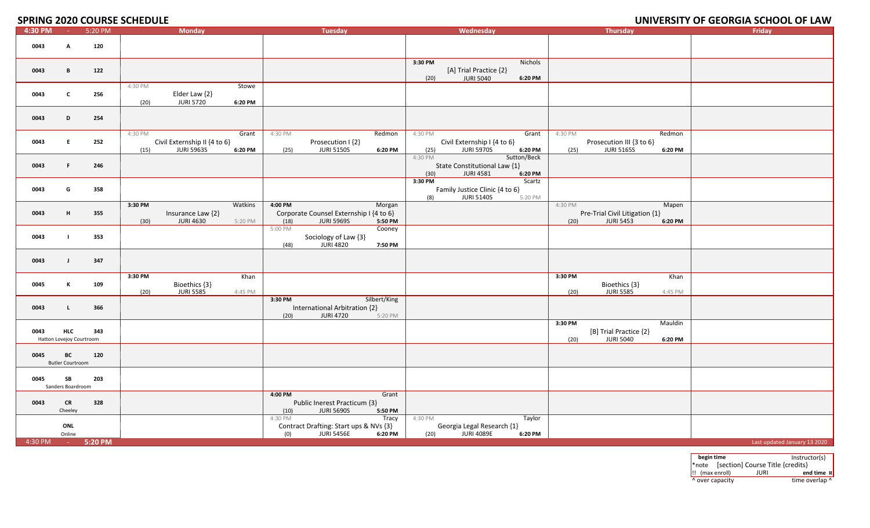# **2020 COURSE SCHEDULE UNIVERSITY OF GEORGIA SCHOOL OF LAW**

| 4:30 PM | $\sim 100$                             | 5:20 PM | <b>Monday</b>                                                                            | <b>Tuesday</b>                                                                                       | Wednesday                                                                                     | <b>Thursday</b>                                                                           | Friday                       |
|---------|----------------------------------------|---------|------------------------------------------------------------------------------------------|------------------------------------------------------------------------------------------------------|-----------------------------------------------------------------------------------------------|-------------------------------------------------------------------------------------------|------------------------------|
| 0043    | A                                      | 120     |                                                                                          |                                                                                                      |                                                                                               |                                                                                           |                              |
| 0043    | B                                      | 122     |                                                                                          |                                                                                                      | 3:30 PM<br>Nichols<br>[A] Trial Practice {2}<br>(20)<br><b>JURI 5040</b><br>6:20 PM           |                                                                                           |                              |
| 0043    | <b>C</b>                               | 256     | 4:30 PM<br>Stowe<br>Elder Law {2}<br><b>JURI 5720</b><br>(20)<br>6:20 PM                 |                                                                                                      |                                                                                               |                                                                                           |                              |
| 0043    | D                                      | 254     |                                                                                          |                                                                                                      |                                                                                               |                                                                                           |                              |
| 0043    | E.                                     | 252     | 4:30 PM<br>Grant<br>Civil Externship II {4 to 6}<br><b>JURI 5963S</b><br>(15)<br>6:20 PM | 4:30 PM<br>Redmon<br>Prosecution I {2}<br><b>JURI 5150S</b><br>(25)<br>6:20 PM                       | 4:30 PM<br>Grant<br>Civil Externship I {4 to 6}<br><b>JURI 5970S</b><br>(25)<br>6:20 PM       | 4:30 PM<br>Redmon<br>Prosecution III {3 to 6}<br><b>JURI 5165S</b><br>(25)<br>6:20 PM     |                              |
| 0043    | F.                                     | 246     |                                                                                          |                                                                                                      | 4:30 PM<br>Sutton/Beck<br>State Constitutional Law {1}<br><b>JURI 4581</b><br>(30)<br>6:20 PM |                                                                                           |                              |
| 0043    | G                                      | 358     |                                                                                          |                                                                                                      | 3:30 PM<br>Scartz<br>Family Justice Clinic {4 to 6}<br>(8)<br><b>JURI 5140S</b><br>5:20 PM    |                                                                                           |                              |
| 0043    | H                                      | 355     | Watkins<br>3:30 PM<br>Insurance Law {2}<br><b>JURI 4630</b><br>(30)<br>5:20 PM           | 4:00 PM<br>Morgan<br>Corporate Counsel Externship I {4 to 6}<br><b>JURI 5969S</b><br>5:50 PM<br>(18) |                                                                                               | 4:30 PM<br>Mapen<br>Pre-Trial Civil Litigation {1}<br><b>JURI 5453</b><br>(20)<br>6:20 PM |                              |
| 0043    |                                        | 353     |                                                                                          | 5:00 PM<br>Cooney<br>Sociology of Law {3}<br>(48)<br><b>JURI 4820</b><br>7:50 PM                     |                                                                                               |                                                                                           |                              |
| 0043    | $\mathbf{I}$                           | 347     |                                                                                          |                                                                                                      |                                                                                               |                                                                                           |                              |
| 0045    | К                                      | 109     | 3:30 PM<br>Khan<br>Bioethics {3}<br><b>JURI 5585</b><br>(20)<br>4:45 PM                  |                                                                                                      |                                                                                               | 3:30 PM<br>Khan<br>Bioethics {3}<br><b>JURI 5585</b><br>(20)<br>4:45 PM                   |                              |
| 0043    | $\mathbf{L}$                           | 366     |                                                                                          | 3:30 PM<br>Silbert/King<br>International Arbitration {2}<br><b>JURI 4720</b><br>(20)<br>5:20 PM      |                                                                                               |                                                                                           |                              |
| 0043    | <b>HLC</b><br>Hatton Lovejoy Courtroom | 343     |                                                                                          |                                                                                                      |                                                                                               | 3:30 PM<br>Mauldin<br>[B] Trial Practice {2}<br>(20)<br><b>JURI 5040</b><br>6:20 PM       |                              |
| 0045    | BC<br><b>Butler Courtroom</b>          | 120     |                                                                                          |                                                                                                      |                                                                                               |                                                                                           |                              |
| 0045    | SB<br>Sanders Boardroom                | 203     |                                                                                          |                                                                                                      |                                                                                               |                                                                                           |                              |
| 0043    | <b>CR</b><br>Cheeley                   | 328     |                                                                                          | 4:00 PM<br>Grant<br>Public Inerest Practicum {3}<br><b>JURI 5690S</b><br>5:50 PM<br>(10)             |                                                                                               |                                                                                           |                              |
|         | ONL<br>Online                          |         |                                                                                          | Tracy<br>4:30 PM<br>Contract Drafting: Start ups & NVs {3}<br>(0)<br><b>JURI 5456E</b><br>6:20 PM    | Taylor<br>4:30 PM<br>Georgia Legal Research {1}<br><b>JURI 4089E</b><br>6:20 PM<br>(20)       |                                                                                           |                              |
| 4:30 PM | <b>Contact Contact</b>                 | 5:20 PM |                                                                                          |                                                                                                      |                                                                                               |                                                                                           | Last updated January 13 2020 |

| begin time                    |                                        | Instructor(s)  |
|-------------------------------|----------------------------------------|----------------|
|                               | *note [section] Course Title {credits} |                |
| $\left  \right $ (max enroll) | JURI                                   | end time x     |
| ^ over capacity               |                                        | time overlap ^ |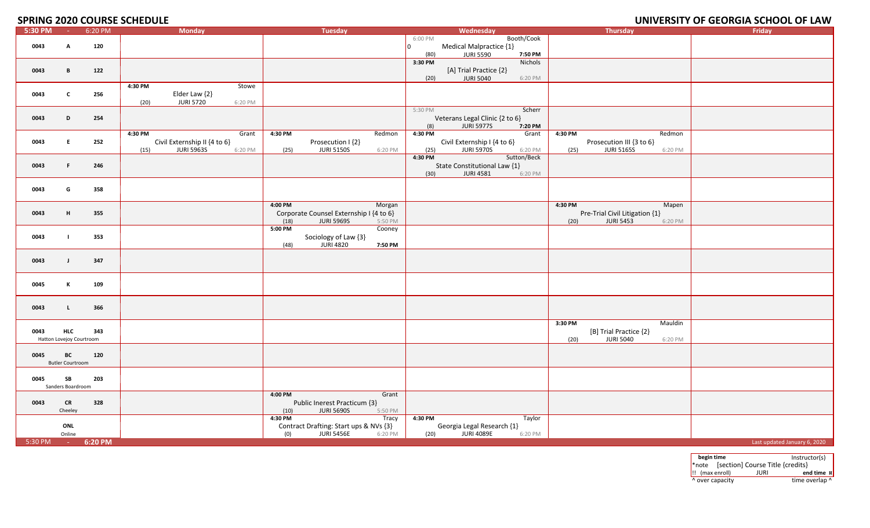### **2020 COURSE SCHEDULE UNIVERSITY OF GEORGIA SCHOOL OF LAW**

| 5:30 PM | $\sim$ $ \sim$                         | 6:20 PM | <b>Monday</b>                                                                            | <b>Tuesday</b>                                                                                       | Wednesday                                                                                      | <b>Thursday</b>                                                                           | Friday                       |
|---------|----------------------------------------|---------|------------------------------------------------------------------------------------------|------------------------------------------------------------------------------------------------------|------------------------------------------------------------------------------------------------|-------------------------------------------------------------------------------------------|------------------------------|
| 0043    | A                                      | 120     |                                                                                          |                                                                                                      | Booth/Cook<br>6:00 PM<br>Medical Malpractice {1}<br>I٥                                         |                                                                                           |                              |
| 0043    | B                                      | 122     |                                                                                          |                                                                                                      | <b>JURI 5590</b><br>7:50 PM<br>(80)<br>3:30 PM<br>Nichols<br>[A] Trial Practice {2}<br>6:20 PM |                                                                                           |                              |
| 0043    | $\mathbf{c}$                           | 256     | 4:30 PM<br>Stowe<br>Elder Law {2}<br><b>JURI 5720</b><br>(20)<br>6:20 PM                 |                                                                                                      | <b>JURI 5040</b><br>(20)                                                                       |                                                                                           |                              |
| 0043    | D                                      | 254     |                                                                                          |                                                                                                      | 5:30 PM<br>Scherr<br>Veterans Legal Clinic {2 to 6}<br>(8)<br><b>JURI 5977S</b><br>7:20 PM     |                                                                                           |                              |
| 0043    | E.                                     | 252     | 4:30 PM<br>Grant<br>Civil Externship II {4 to 6}<br><b>JURI 5963S</b><br>6:20 PM<br>(15) | 4:30 PM<br>Redmon<br>Prosecution I {2}<br><b>JURI 5150S</b><br>(25)<br>6:20 PM                       | 4:30 PM<br>Grant<br>Civil Externship I {4 to 6}<br><b>JURI 5970S</b><br>(25)<br>6:20 PM        | 4:30 PM<br>Redmon<br>Prosecution III {3 to 6}<br><b>JURI 5165S</b><br>(25)<br>6:20 PM     |                              |
| 0043    | F.                                     | 246     |                                                                                          |                                                                                                      | 4:30 PM<br>Sutton/Beck<br>State Constitutional Law {1}<br><b>JURI 4581</b><br>(30)<br>6:20 PM  |                                                                                           |                              |
| 0043    | G                                      | 358     |                                                                                          |                                                                                                      |                                                                                                |                                                                                           |                              |
| 0043    | н                                      | 355     |                                                                                          | 4:00 PM<br>Morgan<br>Corporate Counsel Externship I {4 to 6}<br>(18)<br><b>JURI 5969S</b><br>5:50 PM |                                                                                                | 4:30 PM<br>Mapen<br>Pre-Trial Civil Litigation {1}<br><b>JURI 5453</b><br>(20)<br>6:20 PM |                              |
| 0043    | $\blacksquare$                         | 353     |                                                                                          | 5:00 PM<br>Cooney<br>Sociology of Law {3}<br><b>JURI 4820</b><br>(48)<br>7:50 PM                     |                                                                                                |                                                                                           |                              |
| 0043    | $\mathbf{J}$                           | 347     |                                                                                          |                                                                                                      |                                                                                                |                                                                                           |                              |
| 0045    | к                                      | 109     |                                                                                          |                                                                                                      |                                                                                                |                                                                                           |                              |
| 0043    | $\mathbf{L}$                           | 366     |                                                                                          |                                                                                                      |                                                                                                |                                                                                           |                              |
| 0043    | <b>HLC</b><br>Hatton Lovejoy Courtroom | 343     |                                                                                          |                                                                                                      |                                                                                                | 3:30 PM<br>Mauldin<br>[B] Trial Practice {2}<br><b>JURI 5040</b><br>(20)<br>6:20 PM       |                              |
| 0045    | BC<br><b>Butler Courtroom</b>          | 120     |                                                                                          |                                                                                                      |                                                                                                |                                                                                           |                              |
| 0045    | SB<br>Sanders Boardroom                | 203     |                                                                                          |                                                                                                      |                                                                                                |                                                                                           |                              |
| 0043    | <b>CR</b><br>Cheeley                   | 328     |                                                                                          | 4:00 PM<br>Grant<br>Public Inerest Practicum {3}<br>(10)<br><b>JURI 5690S</b><br>5:50 PM             |                                                                                                |                                                                                           |                              |
|         | ONL<br>Online                          |         |                                                                                          | 4:30 PM<br>Tracy<br>Contract Drafting: Start ups & NVs {3}<br>(0)<br><b>JURI 5456E</b><br>6:20 PM    | 4:30 PM<br>Taylor<br>Georgia Legal Research {1}<br><b>JURI 4089E</b><br>(20)<br>6:20 PM        |                                                                                           |                              |
| 5:30 PM | <b>Contract</b>                        | 6:20 PM |                                                                                          |                                                                                                      |                                                                                                |                                                                                           | Last updated January 6, 2020 |

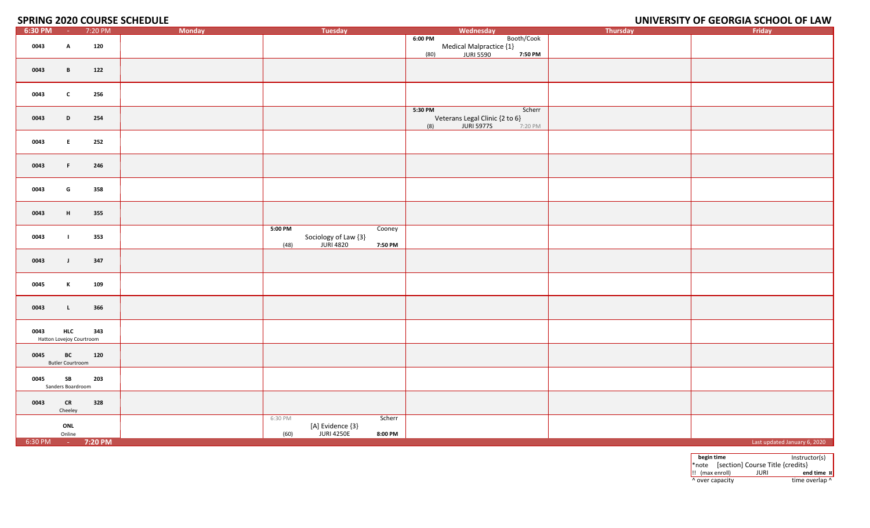## **2020 COURSE SCHEDULE UNIVERSITY OF GEORGIA SCHOOL OF LAW**

| $6:30$ PM         | $\sim 10^{-1}$           | 7:20 PM | Monday  | Tuesday                                      |         | Wednesday                            |            | Thursday | Friday                       |
|-------------------|--------------------------|---------|---------|----------------------------------------------|---------|--------------------------------------|------------|----------|------------------------------|
|                   |                          |         |         |                                              | 6:00 PM |                                      | Booth/Cook |          |                              |
| 0043              | A                        | 120     |         |                                              |         | Medical Malpractice {1}<br>JURI 5590 |            |          |                              |
|                   |                          |         |         |                                              | (80)    |                                      | 7:50 PM    |          |                              |
|                   |                          |         |         |                                              |         |                                      |            |          |                              |
| 0043              | $\mathbf{B}$             | 122     |         |                                              |         |                                      |            |          |                              |
|                   |                          |         |         |                                              |         |                                      |            |          |                              |
|                   |                          |         |         |                                              |         |                                      |            |          |                              |
|                   |                          |         |         |                                              |         |                                      |            |          |                              |
| 0043              | $\mathbf{c}$             | 256     |         |                                              |         |                                      |            |          |                              |
|                   |                          |         |         |                                              |         |                                      |            |          |                              |
|                   |                          |         |         |                                              | 5:30 PM |                                      | Scherr     |          |                              |
| 0043              | D                        | 254     |         |                                              |         | Veterans Legal Clinic {2 to 6}       |            |          |                              |
|                   |                          |         |         |                                              | (8)     | <b>JURI 5977S</b>                    | 7:20 PM    |          |                              |
|                   |                          |         |         |                                              |         |                                      |            |          |                              |
| 0043              | E                        | 252     |         |                                              |         |                                      |            |          |                              |
|                   |                          |         |         |                                              |         |                                      |            |          |                              |
|                   |                          |         |         |                                              |         |                                      |            |          |                              |
| 0043              | $\mathsf F$ .            | 246     |         |                                              |         |                                      |            |          |                              |
|                   |                          |         |         |                                              |         |                                      |            |          |                              |
|                   |                          |         |         |                                              |         |                                      |            |          |                              |
|                   |                          |         |         |                                              |         |                                      |            |          |                              |
| 0043              | G                        | 358     |         |                                              |         |                                      |            |          |                              |
|                   |                          |         |         |                                              |         |                                      |            |          |                              |
|                   |                          |         |         |                                              |         |                                      |            |          |                              |
| 0043              | H                        | 355     |         |                                              |         |                                      |            |          |                              |
|                   |                          |         |         |                                              |         |                                      |            |          |                              |
|                   |                          |         | 5:00 PM | Cooney                                       |         |                                      |            |          |                              |
| 0043              |                          | 353     |         |                                              |         |                                      |            |          |                              |
|                   |                          |         | (48)    | Sociology of Law {3}<br>JURI 4820<br>7:50 PM |         |                                      |            |          |                              |
|                   |                          |         |         |                                              |         |                                      |            |          |                              |
|                   | $\mathbf{J}$             | 347     |         |                                              |         |                                      |            |          |                              |
| 0043              |                          |         |         |                                              |         |                                      |            |          |                              |
|                   |                          |         |         |                                              |         |                                      |            |          |                              |
|                   |                          |         |         |                                              |         |                                      |            |          |                              |
| 0045              | K                        | 109     |         |                                              |         |                                      |            |          |                              |
|                   |                          |         |         |                                              |         |                                      |            |          |                              |
|                   |                          |         |         |                                              |         |                                      |            |          |                              |
| 0043              | $\mathbf{L}$             | 366     |         |                                              |         |                                      |            |          |                              |
|                   |                          |         |         |                                              |         |                                      |            |          |                              |
|                   |                          |         |         |                                              |         |                                      |            |          |                              |
| 0043              | <b>HLC</b>               | 343     |         |                                              |         |                                      |            |          |                              |
|                   | Hatton Lovejoy Courtroom |         |         |                                              |         |                                      |            |          |                              |
|                   |                          |         |         |                                              |         |                                      |            |          |                              |
| 0045              | BC                       | 120     |         |                                              |         |                                      |            |          |                              |
|                   | <b>Butler Courtroom</b>  |         |         |                                              |         |                                      |            |          |                              |
|                   |                          |         |         |                                              |         |                                      |            |          |                              |
| 0045              | SB                       | 203     |         |                                              |         |                                      |            |          |                              |
|                   |                          |         |         |                                              |         |                                      |            |          |                              |
|                   | Sanders Boardroom        |         |         |                                              |         |                                      |            |          |                              |
|                   |                          |         |         |                                              |         |                                      |            |          |                              |
| 0043              | CR                       | 328     |         |                                              |         |                                      |            |          |                              |
|                   | Cheeley                  |         |         |                                              |         |                                      |            |          |                              |
|                   |                          |         | 6:30 PM | Scherr                                       |         |                                      |            |          |                              |
|                   | ONL                      |         |         | [A] Evidence {3}                             |         |                                      |            |          |                              |
|                   | Online                   |         | (60)    | <b>JURI 4250E</b><br>8:00 PM                 |         |                                      |            |          |                              |
| 6:30 PM - 7:20 PM |                          |         |         |                                              |         |                                      |            |          | Last updated January 6, 2020 |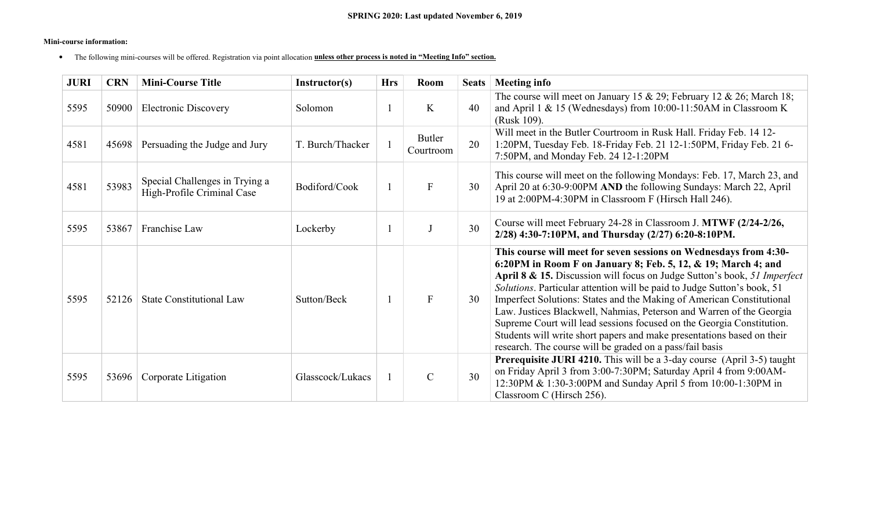#### **Mini-course information:**

• The following mini-courses will be offered. Registration via point allocation **unless other process is noted in "Meeting Info" section.**

| <b>JURI</b> | <b>CRN</b> | <b>Mini-Course Title</b>                                     | Instructor(s)    | <b>Hrs</b> | <b>Room</b>         | <b>Seats</b> | <b>Meeting info</b>                                                                                                                                                                                                                                                                                                                                                                                                                                                                                                                                                                                                                                       |
|-------------|------------|--------------------------------------------------------------|------------------|------------|---------------------|--------------|-----------------------------------------------------------------------------------------------------------------------------------------------------------------------------------------------------------------------------------------------------------------------------------------------------------------------------------------------------------------------------------------------------------------------------------------------------------------------------------------------------------------------------------------------------------------------------------------------------------------------------------------------------------|
| 5595        | 50900      | <b>Electronic Discovery</b>                                  | Solomon          |            | K                   | 40           | The course will meet on January 15 & 29; February 12 & 26; March 18;<br>and April 1 & 15 (Wednesdays) from 10:00-11:50AM in Classroom K<br>(Rusk 109).                                                                                                                                                                                                                                                                                                                                                                                                                                                                                                    |
| 4581        | 45698      | Persuading the Judge and Jury                                | T. Burch/Thacker |            | Butler<br>Courtroom | 20           | Will meet in the Butler Courtroom in Rusk Hall. Friday Feb. 14 12-<br>1:20PM, Tuesday Feb. 18-Friday Feb. 21 12-1:50PM, Friday Feb. 21 6-<br>7:50PM, and Monday Feb. 24 12-1:20PM                                                                                                                                                                                                                                                                                                                                                                                                                                                                         |
| 4581        | 53983      | Special Challenges in Trying a<br>High-Profile Criminal Case | Bodiford/Cook    |            | $\mathbf{F}$        | 30           | This course will meet on the following Mondays: Feb. 17, March 23, and<br>April 20 at 6:30-9:00PM AND the following Sundays: March 22, April<br>19 at 2:00PM-4:30PM in Classroom F (Hirsch Hall 246).                                                                                                                                                                                                                                                                                                                                                                                                                                                     |
| 5595        | 53867      | Franchise Law                                                | Lockerby         |            |                     | 30           | Course will meet February 24-28 in Classroom J. MTWF (2/24-2/26,<br>2/28) 4:30-7:10PM, and Thursday (2/27) 6:20-8:10PM.                                                                                                                                                                                                                                                                                                                                                                                                                                                                                                                                   |
| 5595        | 52126      | <b>State Constitutional Law</b>                              | Sutton/Beck      |            | F                   | 30           | This course will meet for seven sessions on Wednesdays from 4:30-<br>6:20PM in Room F on January 8; Feb. 5, 12, & 19; March 4; and<br>April 8 & 15. Discussion will focus on Judge Sutton's book, 51 Imperfect<br>Solutions. Particular attention will be paid to Judge Sutton's book, 51<br>Imperfect Solutions: States and the Making of American Constitutional<br>Law. Justices Blackwell, Nahmias, Peterson and Warren of the Georgia<br>Supreme Court will lead sessions focused on the Georgia Constitution.<br>Students will write short papers and make presentations based on their<br>research. The course will be graded on a pass/fail basis |
| 5595        | 53696      | Corporate Litigation                                         | Glasscock/Lukacs |            | $\mathcal{C}$       | 30           | <b>Prerequisite JURI 4210.</b> This will be a 3-day course (April 3-5) taught<br>on Friday April 3 from 3:00-7:30PM; Saturday April 4 from 9:00AM-<br>12:30PM & 1:30-3:00PM and Sunday April 5 from 10:00-1:30PM in<br>Classroom C (Hirsch 256).                                                                                                                                                                                                                                                                                                                                                                                                          |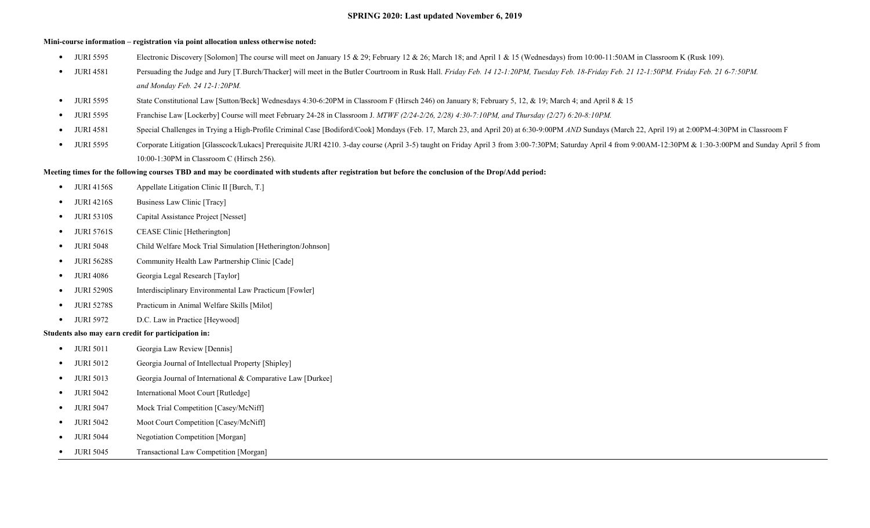#### **SPRING 2020: Last updated November 6, 2019**

#### **Mini-course information – registration via point allocation unless otherwise noted:**

- JURI 5595 Electronic Discovery [Solomon] The course will meet on January 15 & 29; February 12 & 26; March 18; and April 1 & 15 (Wednesdays) from 10:00-11:50AM in Classroom K (Rusk 109).
- JURI 4581 Persuading the Judge and Jury [T.Burch/Thacker] will meet in the Butler Courtroom in Rusk Hall. *Friday Feb. 14 12-1:20PM, Tuesday Feb. 21 12-1:50PM. Friday Feb. 21 0-7:50PM. and Monday Feb. 24 12-1:20PM.*
- JURI 5595 State Constitutional Law [Sutton/Beck] Wednesdays 4:30-6:20PM in Classroom F (Hirsch 246) on January 8; February 5, 12, & 19; March 4; and April 8 & 15
- JURI 5595 Franchise Law [Lockerby] Course will meet February 24-28 in Classroom J. *MTWF (2/24-2/26, 2/28) 4:30-7:10PM, and Thursday (2/27) 6:20-8:10PM.*
- JURI 4581 Special Challenges in Trying a High-Profile Criminal Case [Bodiford/Cook] Mondays (Feb. 17, March 23, and April 20) at 6:30-9:00PM *AND* Sundays (March 22, April 19) at 2:00PM-4:30PM in Classroom F
- JURI 5595 Corporate Litigation [Glasscock/Lukacs] Prerequisite JURI 4210. 3-day course (April 3-5) taught on Friday April 3 from 3:00-7:30PM; Saturday April 4 from 9:00AM‐12:30PM & 1:30‐3:00PM and Sunday April 5 from 10:00‐1:30PM in Classroom C (Hirsch 256).

#### **Meeting times for the following courses TBD and may be coordinated with students after registration but before the conclusion of the Drop/Add period:**

- JURI 4156S Appellate Litigation Clinic II [Burch, T.]
- JURI 4216S Business Law Clinic [Tracy]
- JURI 5310S Capital Assistance Project [Nesset]
- JURI 5761S CEASE Clinic [Hetherington]
- JURI 5048 Child Welfare Mock Trial Simulation [Hetherington/Johnson]
- JURI 5628S Community Health Law Partnership Clinic [Cade]
- JURI 4086 Georgia Legal Research [Taylor]
- JURI 5290S Interdisciplinary Environmental Law Practicum [Fowler]
- JURI 5278S Practicum in Animal Welfare Skills [Milot]
- JURI 5972 D.C. Law in Practice [Heywood]

#### **Students also may earn credit for participation in:**

- JURI 5011 Georgia Law Review [Dennis]
- JURI 5012 Georgia Journal of Intellectual Property [Shipley]
- JURI 5013 Georgia Journal of International & Comparative Law [Durkee]
- JURI 5042 International Moot Court [Rutledge]
- JURI 5047 Mock Trial Competition [Casey/McNiff]
- JURI 5042 Moot Court Competition [Casey/McNiff]
- JURI 5044 Negotiation Competition [Morgan]
- JURI 5045 Transactional Law Competition [Morgan]